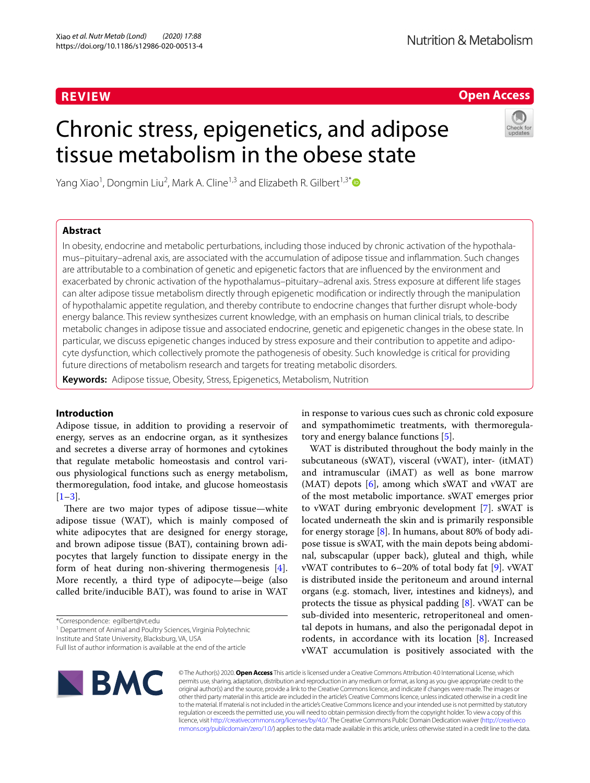# **REVIEW**

# **Open Access**

# Chronic stress, epigenetics, and adipose tissue metabolism in the obese state



Yang Xiao<sup>1</sup>, Dongmin Liu<sup>2</sup>, Mark A. Cline<sup>1,3</sup> and Elizabeth R. Gilbert<sup>1,3[\\*](http://orcid.org/0000-0003-4541-9414)</sup>

# **Abstract**

In obesity, endocrine and metabolic perturbations, including those induced by chronic activation of the hypothalamus–pituitary–adrenal axis, are associated with the accumulation of adipose tissue and infammation. Such changes are attributable to a combination of genetic and epigenetic factors that are infuenced by the environment and exacerbated by chronic activation of the hypothalamus–pituitary–adrenal axis. Stress exposure at diferent life stages can alter adipose tissue metabolism directly through epigenetic modifcation or indirectly through the manipulation of hypothalamic appetite regulation, and thereby contribute to endocrine changes that further disrupt whole-body energy balance. This review synthesizes current knowledge, with an emphasis on human clinical trials, to describe metabolic changes in adipose tissue and associated endocrine, genetic and epigenetic changes in the obese state. In particular, we discuss epigenetic changes induced by stress exposure and their contribution to appetite and adipocyte dysfunction, which collectively promote the pathogenesis of obesity. Such knowledge is critical for providing future directions of metabolism research and targets for treating metabolic disorders.

**Keywords:** Adipose tissue, Obesity, Stress, Epigenetics, Metabolism, Nutrition

# **Introduction**

Adipose tissue, in addition to providing a reservoir of energy, serves as an endocrine organ, as it synthesizes and secretes a diverse array of hormones and cytokines that regulate metabolic homeostasis and control various physiological functions such as energy metabolism, thermoregulation, food intake, and glucose homeostasis  $[1-3]$  $[1-3]$ .

There are two major types of adipose tissue—white adipose tissue (WAT), which is mainly composed of white adipocytes that are designed for energy storage, and brown adipose tissue (BAT), containing brown adipocytes that largely function to dissipate energy in the form of heat during non-shivering thermogenesis [\[4](#page-11-2)]. More recently, a third type of adipocyte—beige (also called brite/inducible BAT), was found to arise in WAT

<sup>1</sup> Department of Animal and Poultry Sciences, Virginia Polytechnic

Institute and State University, Blacksburg, VA, USA

in response to various cues such as chronic cold exposure and sympathomimetic treatments, with thermoregulatory and energy balance functions [[5](#page-11-3)].

WAT is distributed throughout the body mainly in the subcutaneous (sWAT), visceral (vWAT), inter- (itMAT) and intramuscular (iMAT) as well as bone marrow (MAT) depots [\[6](#page-11-4)], among which sWAT and vWAT are of the most metabolic importance. sWAT emerges prior to vWAT during embryonic development [[7\]](#page-11-5). sWAT is located underneath the skin and is primarily responsible for energy storage  $[8]$  $[8]$ . In humans, about 80% of body adipose tissue is sWAT, with the main depots being abdominal, subscapular (upper back), gluteal and thigh, while vWAT contributes to 6–20% of total body fat [[9\]](#page-11-7). vWAT is distributed inside the peritoneum and around internal organs (e.g. stomach, liver, intestines and kidneys), and protects the tissue as physical padding [\[8](#page-11-6)]. vWAT can be sub-divided into mesenteric, retroperitoneal and omental depots in humans, and also the perigonadal depot in rodents, in accordance with its location [[8\]](#page-11-6). Increased vWAT accumulation is positively associated with the



© The Author(s) 2020. **Open Access** This article is licensed under a Creative Commons Attribution 4.0 International License, which permits use, sharing, adaptation, distribution and reproduction in any medium or format, as long as you give appropriate credit to the original author(s) and the source, provide a link to the Creative Commons licence, and indicate if changes were made. The images or other third party material in this article are included in the article's Creative Commons licence, unless indicated otherwise in a credit line to the material. If material is not included in the article's Creative Commons licence and your intended use is not permitted by statutory regulation or exceeds the permitted use, you will need to obtain permission directly from the copyright holder. To view a copy of this licence, visit [http://creativecommons.org/licenses/by/4.0/.](http://creativecommons.org/licenses/by/4.0/) The Creative Commons Public Domain Dedication waiver ([http://creativeco](http://creativecommons.org/publicdomain/zero/1.0/) [mmons.org/publicdomain/zero/1.0/](http://creativecommons.org/publicdomain/zero/1.0/)) applies to the data made available in this article, unless otherwise stated in a credit line to the data.

<sup>\*</sup>Correspondence: egilbert@vt.edu

Full list of author information is available at the end of the article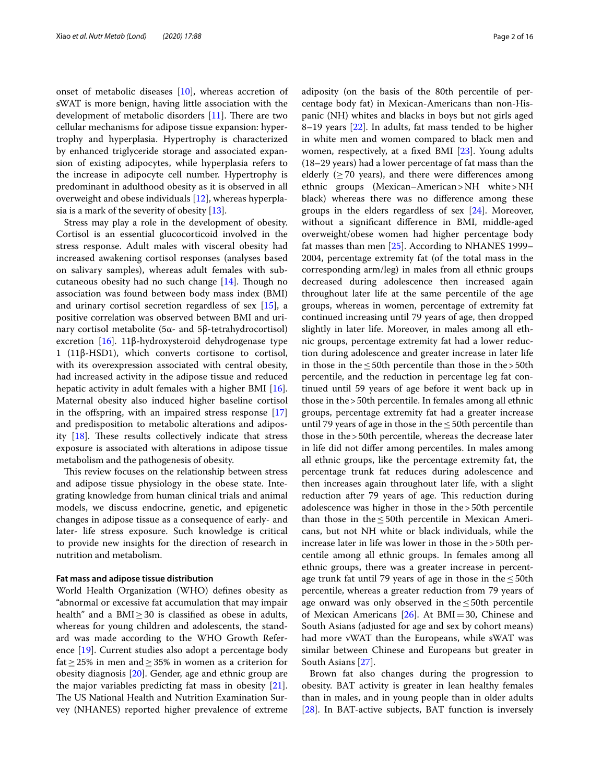onset of metabolic diseases [\[10\]](#page-11-8), whereas accretion of sWAT is more benign, having little association with the development of metabolic disorders  $[11]$  $[11]$ . There are two cellular mechanisms for adipose tissue expansion: hypertrophy and hyperplasia. Hypertrophy is characterized by enhanced triglyceride storage and associated expansion of existing adipocytes, while hyperplasia refers to the increase in adipocyte cell number. Hypertrophy is predominant in adulthood obesity as it is observed in all overweight and obese individuals [[12\]](#page-11-10), whereas hyperplasia is a mark of the severity of obesity [[13\]](#page-11-11).

Stress may play a role in the development of obesity. Cortisol is an essential glucocorticoid involved in the stress response. Adult males with visceral obesity had increased awakening cortisol responses (analyses based on salivary samples), whereas adult females with subcutaneous obesity had no such change  $[14]$  $[14]$ . Though no association was found between body mass index (BMI) and urinary cortisol secretion regardless of sex [\[15](#page-12-0)], a positive correlation was observed between BMI and urinary cortisol metabolite (5α- and 5β-tetrahydrocortisol) excretion [[16\]](#page-12-1). 11β-hydroxysteroid dehydrogenase type 1 (11β-HSD1), which converts cortisone to cortisol, with its overexpression associated with central obesity, had increased activity in the adipose tissue and reduced hepatic activity in adult females with a higher BMI [\[16](#page-12-1)]. Maternal obesity also induced higher baseline cortisol in the offspring, with an impaired stress response  $[17]$  $[17]$  $[17]$ and predisposition to metabolic alterations and adiposity  $[18]$  $[18]$  $[18]$ . These results collectively indicate that stress exposure is associated with alterations in adipose tissue metabolism and the pathogenesis of obesity.

This review focuses on the relationship between stress and adipose tissue physiology in the obese state. Integrating knowledge from human clinical trials and animal models, we discuss endocrine, genetic, and epigenetic changes in adipose tissue as a consequence of early- and later- life stress exposure. Such knowledge is critical to provide new insights for the direction of research in nutrition and metabolism.

#### **Fat mass and adipose tissue distribution**

World Health Organization (WHO) defnes obesity as "abnormal or excessive fat accumulation that may impair health" and a  $BMI \geq 30$  is classified as obese in adults, whereas for young children and adolescents, the standard was made according to the WHO Growth Reference [[19\]](#page-12-4). Current studies also adopt a percentage body fat  $\geq$  25% in men and  $\geq$  35% in women as a criterion for obesity diagnosis [\[20](#page-12-5)]. Gender, age and ethnic group are the major variables predicting fat mass in obesity [\[21](#page-12-6)]. The US National Health and Nutrition Examination Survey (NHANES) reported higher prevalence of extreme adiposity (on the basis of the 80th percentile of percentage body fat) in Mexican-Americans than non-Hispanic (NH) whites and blacks in boys but not girls aged 8–19 years [\[22](#page-12-7)]. In adults, fat mass tended to be higher in white men and women compared to black men and women, respectively, at a fxed BMI [[23\]](#page-12-8). Young adults (18–29 years) had a lower percentage of fat mass than the elderly ( $\geq$  70 years), and there were differences among ethnic groups (Mexican–American>NH white>NH black) whereas there was no diference among these groups in the elders regardless of sex [[24](#page-12-9)]. Moreover, without a signifcant diference in BMI, middle-aged overweight/obese women had higher percentage body fat masses than men [\[25](#page-12-10)]. According to NHANES 1999– 2004, percentage extremity fat (of the total mass in the corresponding arm/leg) in males from all ethnic groups decreased during adolescence then increased again throughout later life at the same percentile of the age groups, whereas in women, percentage of extremity fat continued increasing until 79 years of age, then dropped slightly in later life. Moreover, in males among all ethnic groups, percentage extremity fat had a lower reduction during adolescence and greater increase in later life in those in the  $\leq$  50th percentile than those in the > 50th percentile, and the reduction in percentage leg fat continued until 59 years of age before it went back up in those in the>50th percentile. In females among all ethnic groups, percentage extremity fat had a greater increase until 79 years of age in those in the  $\leq$  50th percentile than those in the>50th percentile, whereas the decrease later in life did not difer among percentiles. In males among all ethnic groups, like the percentage extremity fat, the percentage trunk fat reduces during adolescence and then increases again throughout later life, with a slight reduction after 79 years of age. This reduction during adolescence was higher in those in the>50th percentile than those in the  $\leq$  50th percentile in Mexican Americans, but not NH white or black individuals, while the increase later in life was lower in those in the>50th percentile among all ethnic groups. In females among all ethnic groups, there was a greater increase in percentage trunk fat until 79 years of age in those in the  $\leq$  50th percentile, whereas a greater reduction from 79 years of age onward was only observed in the  $\leq$  50th percentile of Mexican Americans  $[26]$ . At BMI=30, Chinese and South Asians (adjusted for age and sex by cohort means) had more vWAT than the Europeans, while sWAT was similar between Chinese and Europeans but greater in South Asians [\[27\]](#page-12-12).

Brown fat also changes during the progression to obesity. BAT activity is greater in lean healthy females than in males, and in young people than in older adults [[28\]](#page-12-13). In BAT-active subjects, BAT function is inversely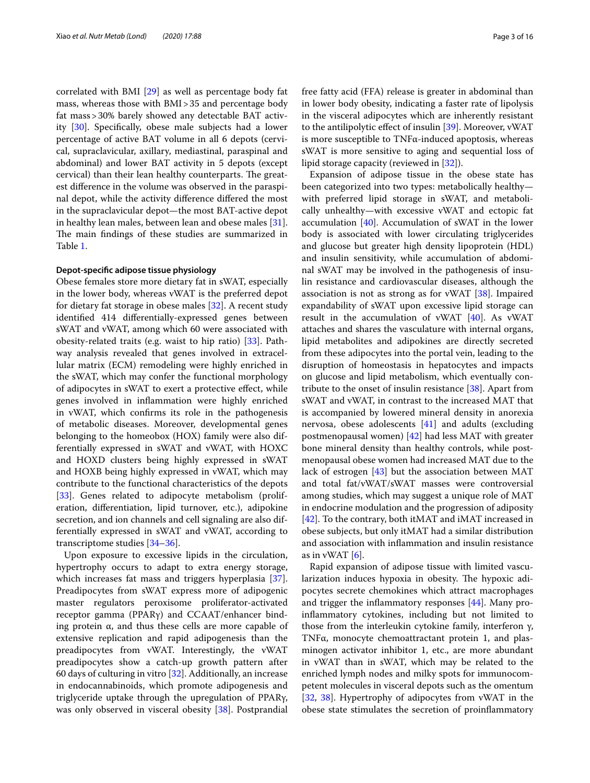correlated with BMI [\[29](#page-12-14)] as well as percentage body fat mass, whereas those with BMI>35 and percentage body fat mass>30% barely showed any detectable BAT activity [\[30\]](#page-12-15). Specifcally, obese male subjects had a lower percentage of active BAT volume in all 6 depots (cervical, supraclavicular, axillary, mediastinal, paraspinal and abdominal) and lower BAT activity in 5 depots (except cervical) than their lean healthy counterparts. The greatest diference in the volume was observed in the paraspinal depot, while the activity diference difered the most in the supraclavicular depot—the most BAT-active depot in healthy lean males, between lean and obese males [\[31](#page-12-16)]. The main findings of these studies are summarized in Table [1](#page-3-0).

## **Depot‑specifc adipose tissue physiology**

Obese females store more dietary fat in sWAT, especially in the lower body, whereas vWAT is the preferred depot for dietary fat storage in obese males [\[32\]](#page-12-17). A recent study identifed 414 diferentially-expressed genes between sWAT and vWAT, among which 60 were associated with obesity-related traits (e.g. waist to hip ratio) [[33](#page-12-18)]. Pathway analysis revealed that genes involved in extracellular matrix (ECM) remodeling were highly enriched in the sWAT, which may confer the functional morphology of adipocytes in sWAT to exert a protective efect, while genes involved in infammation were highly enriched in vWAT, which confrms its role in the pathogenesis of metabolic diseases. Moreover, developmental genes belonging to the homeobox (HOX) family were also differentially expressed in sWAT and vWAT, with HOXC and HOXD clusters being highly expressed in sWAT and HOXB being highly expressed in vWAT, which may contribute to the functional characteristics of the depots [[33\]](#page-12-18). Genes related to adipocyte metabolism (proliferation, diferentiation, lipid turnover, etc.), adipokine secretion, and ion channels and cell signaling are also differentially expressed in sWAT and vWAT, according to transcriptome studies [\[34–](#page-12-19)[36\]](#page-12-20).

Upon exposure to excessive lipids in the circulation, hypertrophy occurs to adapt to extra energy storage, which increases fat mass and triggers hyperplasia [\[37](#page-12-21)]. Preadipocytes from sWAT express more of adipogenic master regulators peroxisome proliferator-activated receptor gamma (PPARγ) and CCAAT/enhancer binding protein  $α$ , and thus these cells are more capable of extensive replication and rapid adipogenesis than the preadipocytes from vWAT. Interestingly, the vWAT preadipocytes show a catch-up growth pattern after 60 days of culturing in vitro [\[32](#page-12-17)]. Additionally, an increase in endocannabinoids, which promote adipogenesis and triglyceride uptake through the upregulation of PPARγ, was only observed in visceral obesity [\[38\]](#page-12-22). Postprandial free fatty acid (FFA) release is greater in abdominal than in lower body obesity, indicating a faster rate of lipolysis in the visceral adipocytes which are inherently resistant to the antilipolytic efect of insulin [\[39](#page-12-23)]. Moreover, vWAT is more susceptible to TNFα-induced apoptosis, whereas sWAT is more sensitive to aging and sequential loss of lipid storage capacity (reviewed in [\[32](#page-12-17)]).

Expansion of adipose tissue in the obese state has been categorized into two types: metabolically healthy with preferred lipid storage in sWAT, and metabolically unhealthy—with excessive vWAT and ectopic fat accumulation [[40\]](#page-12-24). Accumulation of sWAT in the lower body is associated with lower circulating triglycerides and glucose but greater high density lipoprotein (HDL) and insulin sensitivity, while accumulation of abdominal sWAT may be involved in the pathogenesis of insulin resistance and cardiovascular diseases, although the association is not as strong as for vWAT [\[38](#page-12-22)]. Impaired expandability of sWAT upon excessive lipid storage can result in the accumulation of vWAT [\[40\]](#page-12-24). As vWAT attaches and shares the vasculature with internal organs, lipid metabolites and adipokines are directly secreted from these adipocytes into the portal vein, leading to the disruption of homeostasis in hepatocytes and impacts on glucose and lipid metabolism, which eventually contribute to the onset of insulin resistance [\[38](#page-12-22)]. Apart from sWAT and vWAT, in contrast to the increased MAT that is accompanied by lowered mineral density in anorexia nervosa, obese adolescents [\[41\]](#page-12-25) and adults (excluding postmenopausal women) [\[42](#page-12-26)] had less MAT with greater bone mineral density than healthy controls, while postmenopausal obese women had increased MAT due to the lack of estrogen [\[43](#page-12-27)] but the association between MAT and total fat/vWAT/sWAT masses were controversial among studies, which may suggest a unique role of MAT in endocrine modulation and the progression of adiposity [[42\]](#page-12-26). To the contrary, both itMAT and iMAT increased in obese subjects, but only itMAT had a similar distribution and association with infammation and insulin resistance as in vWAT  $[6]$  $[6]$ .

Rapid expansion of adipose tissue with limited vascularization induces hypoxia in obesity. The hypoxic adipocytes secrete chemokines which attract macrophages and trigger the infammatory responses [[44\]](#page-12-28). Many proinfammatory cytokines, including but not limited to those from the interleukin cytokine family, interferon γ, TNFα, monocyte chemoattractant protein 1, and plasminogen activator inhibitor 1, etc., are more abundant in vWAT than in sWAT, which may be related to the enriched lymph nodes and milky spots for immunocompetent molecules in visceral depots such as the omentum [[32,](#page-12-17) [38\]](#page-12-22). Hypertrophy of adipocytes from vWAT in the obese state stimulates the secretion of proinfammatory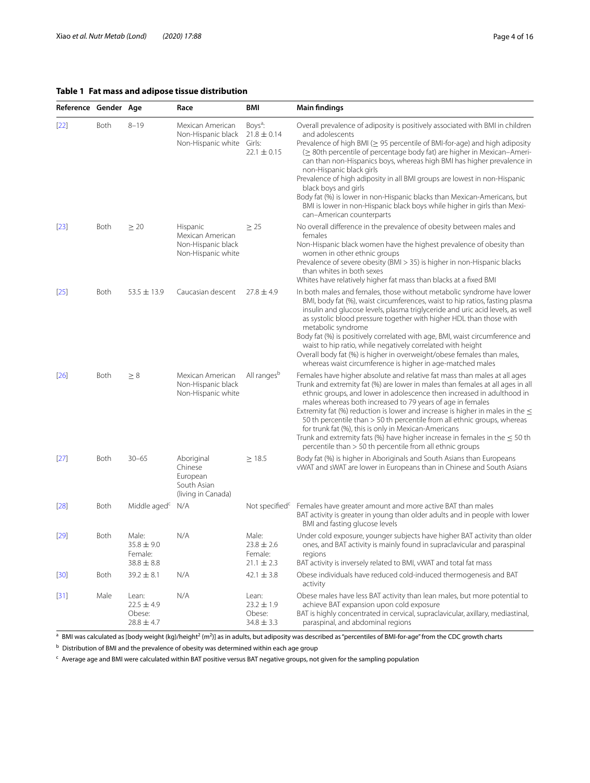# <span id="page-3-0"></span>**Table 1 Fat mass and adipose tissue distribution**

| Reference Gender Age |             |                                                      | Race                                                                     | BMI                                                                 | <b>Main findings</b>                                                                                                                                                                                                                                                                                                                                                                                                                                                                                                                                                                                                                                                           |
|----------------------|-------------|------------------------------------------------------|--------------------------------------------------------------------------|---------------------------------------------------------------------|--------------------------------------------------------------------------------------------------------------------------------------------------------------------------------------------------------------------------------------------------------------------------------------------------------------------------------------------------------------------------------------------------------------------------------------------------------------------------------------------------------------------------------------------------------------------------------------------------------------------------------------------------------------------------------|
| $[22]$               | Both        | $8 - 19$                                             | Mexican American<br>Non-Hispanic black<br>Non-Hispanic white             | Boys <sup>a</sup> :<br>$21.8 \pm 0.14$<br>Girls:<br>$22.1 \pm 0.15$ | Overall prevalence of adiposity is positively associated with BMI in children<br>and adolescents<br>Prevalence of high BMI ( $\geq$ 95 percentile of BMI-for-age) and high adiposity<br>( $\geq$ 80th percentile of percentage body fat) are higher in Mexican-Ameri-<br>can than non-Hispanics boys, whereas high BMI has higher prevalence in<br>non-Hispanic black girls<br>Prevalence of high adiposity in all BMI groups are lowest in non-Hispanic<br>black boys and girls<br>Body fat (%) is lower in non-Hispanic blacks than Mexican-Americans, but<br>BMI is lower in non-Hispanic black boys while higher in girls than Mexi-<br>can-American counterparts          |
| $[23]$               | Both        | $\geq 20$                                            | Hispanic<br>Mexican American<br>Non-Hispanic black<br>Non-Hispanic white | $\geq$ 25                                                           | No overall difference in the prevalence of obesity between males and<br>females<br>Non-Hispanic black women have the highest prevalence of obesity than<br>women in other ethnic groups<br>Prevalence of severe obesity (BMI > 35) is higher in non-Hispanic blacks<br>than whites in both sexes<br>Whites have relatively higher fat mass than blacks at a fixed BMI                                                                                                                                                                                                                                                                                                          |
| $[25]$               | Both        | $53.5 \pm 13.9$                                      | Caucasian descent                                                        | $27.8 \pm 4.9$                                                      | In both males and females, those without metabolic syndrome have lower<br>BMI, body fat (%), waist circumferences, waist to hip ratios, fasting plasma<br>insulin and glucose levels, plasma triglyceride and uric acid levels, as well<br>as systolic blood pressure together with higher HDL than those with<br>metabolic syndrome<br>Body fat (%) is positively correlated with age, BMI, waist circumference and<br>waist to hip ratio, while negatively correlated with height<br>Overall body fat (%) is higher in overweight/obese females than males,<br>whereas waist circumference is higher in age-matched males                                                    |
| $[26]$               | <b>Both</b> | $\geq 8$                                             | Mexican American<br>Non-Hispanic black<br>Non-Hispanic white             | All ranges <sup>b</sup>                                             | Females have higher absolute and relative fat mass than males at all ages<br>Trunk and extremity fat (%) are lower in males than females at all ages in all<br>ethnic groups, and lower in adolescence then increased in adulthood in<br>males whereas both increased to 79 years of age in females<br>Extremity fat (%) reduction is lower and increase is higher in males in the $\leq$<br>50 th percentile than > 50 th percentile from all ethnic groups, whereas<br>for trunk fat (%), this is only in Mexican-Americans<br>Trunk and extremity fats (%) have higher increase in females in the $\leq$ 50 th<br>percentile than > 50 th percentile from all ethnic groups |
| $[27]$               | Both        | $30 - 65$                                            | Aboriginal<br>Chinese<br>European<br>South Asian<br>(living in Canada)   | $\geq$ 18.5                                                         | Body fat (%) is higher in Aboriginals and South Asians than Europeans<br>vWAT and sWAT are lower in Europeans than in Chinese and South Asians                                                                                                                                                                                                                                                                                                                                                                                                                                                                                                                                 |
| $[28]$               | Both        | Middle aged <sup>c</sup>                             | N/A                                                                      | Not specified $\mathfrak{c}$                                        | Females have greater amount and more active BAT than males<br>BAT activity is greater in young than older adults and in people with lower<br>BMI and fasting glucose levels                                                                                                                                                                                                                                                                                                                                                                                                                                                                                                    |
| $[29]$               | <b>Both</b> | Male:<br>$35.8 \pm 9.0$<br>Female:<br>$38.8 \pm 8.8$ | N/A                                                                      | Male:<br>$23.8 \pm 2.6$<br>Female:<br>$21.1 \pm 2.3$                | Under cold exposure, younger subjects have higher BAT activity than older<br>ones, and BAT activity is mainly found in supraclavicular and paraspinal<br>regions<br>BAT activity is inversely related to BMI, vWAT and total fat mass                                                                                                                                                                                                                                                                                                                                                                                                                                          |
| $[30]$               | Both        | $39.2 \pm 8.1$                                       | N/A                                                                      | $42.1 \pm 3.8$                                                      | Obese individuals have reduced cold-induced thermogenesis and BAT<br>activity                                                                                                                                                                                                                                                                                                                                                                                                                                                                                                                                                                                                  |
| $[31]$               | Male        | Lean:<br>$22.5 \pm 4.9$<br>Obese:<br>$28.8 \pm 4.7$  | N/A                                                                      | Lean:<br>$23.2 \pm 1.9$<br>Obese:<br>$34.8 \pm 3.3$                 | Obese males have less BAT activity than lean males, but more potential to<br>achieve BAT expansion upon cold exposure<br>BAT is highly concentrated in cervical, supraclavicular, axillary, mediastinal,<br>paraspinal, and abdominal regions                                                                                                                                                                                                                                                                                                                                                                                                                                  |

 $^{\rm a}$  BMI was calculated as [body weight (kg)/height $^2$  (m $^2$ )] as in adults, but adiposity was described as "percentiles of BMI-for-age" from the CDC growth charts

 $<sup>b</sup>$  Distribution of BMI and the prevalence of obesity was determined within each age group</sup>

<sup>c</sup> Average age and BMI were calculated within BAT positive versus BAT negative groups, not given for the sampling population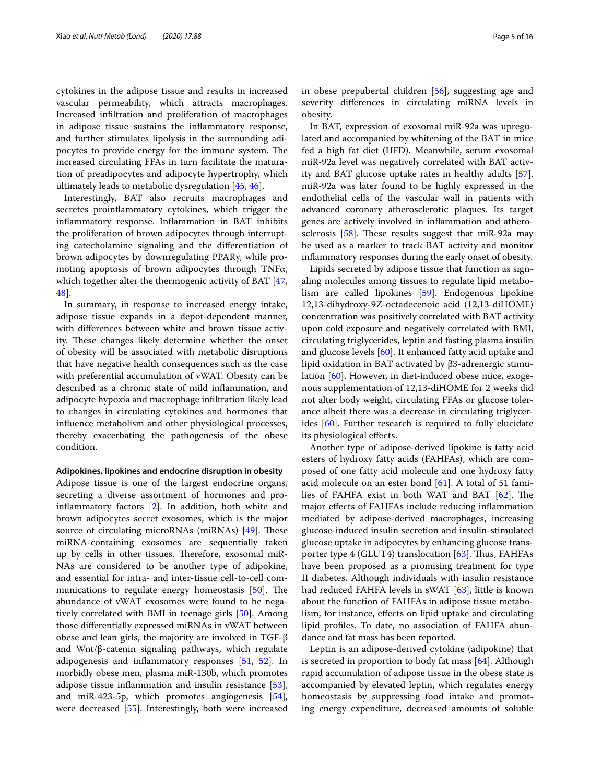cytokines in the adipose tissue and results in increased vascular permeability, which attracts macrophages. Increased infltration and proliferation of macrophages in adipose tissue sustains the infammatory response, and further stimulates lipolysis in the surrounding adipocytes to provide energy for the immune system. The increased circulating FFAs in turn facilitate the maturation of preadipocytes and adipocyte hypertrophy, which ultimately leads to metabolic dysregulation [\[45](#page-12-29), [46\]](#page-12-30).

Interestingly, BAT also recruits macrophages and secretes proinfammatory cytokines, which trigger the infammatory response. Infammation in BAT inhibits the proliferation of brown adipocytes through interrupting catecholamine signaling and the diferentiation of brown adipocytes by downregulating PPARγ, while promoting apoptosis of brown adipocytes through TNFα, which together alter the thermogenic activity of BAT [\[47](#page-12-31), [48\]](#page-12-32).

In summary, in response to increased energy intake, adipose tissue expands in a depot-dependent manner, with diferences between white and brown tissue activity. These changes likely determine whether the onset of obesity will be associated with metabolic disruptions that have negative health consequences such as the case with preferential accumulation of vWAT. Obesity can be described as a chronic state of mild infammation, and adipocyte hypoxia and macrophage infltration likely lead to changes in circulating cytokines and hormones that infuence metabolism and other physiological processes, thereby exacerbating the pathogenesis of the obese condition.

#### **Adipokines, lipokines and endocrine disruption in obesity**

Adipose tissue is one of the largest endocrine organs, secreting a diverse assortment of hormones and proinfammatory factors [\[2](#page-11-13)]. In addition, both white and brown adipocytes secret exosomes, which is the major source of circulating microRNAs (miRNAs)  $[49]$  $[49]$ . These miRNA-containing exosomes are sequentially taken up by cells in other tissues. Therefore, exosomal miR-NAs are considered to be another type of adipokine, and essential for intra- and inter-tissue cell-to-cell communications to regulate energy homeostasis  $[50]$  $[50]$ . The abundance of vWAT exosomes were found to be negatively correlated with BMI in teenage girls [\[50](#page-12-34)]. Among those diferentially expressed miRNAs in vWAT between obese and lean girls, the majority are involved in TGF-β and Wnt/β-catenin signaling pathways, which regulate adipogenesis and infammatory responses [\[51,](#page-12-35) [52](#page-12-36)]. In morbidly obese men, plasma miR-130b, which promotes adipose tissue infammation and insulin resistance [\[53](#page-12-37)], and miR-423-5p, which promotes angiogenesis [\[54](#page-12-38)], were decreased [\[55](#page-12-39)]. Interestingly, both were increased in obese prepubertal children [[56](#page-12-40)], suggesting age and severity diferences in circulating miRNA levels in obesity.

In BAT, expression of exosomal miR-92a was upregulated and accompanied by whitening of the BAT in mice fed a high fat diet (HFD). Meanwhile, serum exosomal miR-92a level was negatively correlated with BAT activity and BAT glucose uptake rates in healthy adults [\[57](#page-12-41)]. miR-92a was later found to be highly expressed in the endothelial cells of the vascular wall in patients with advanced coronary atherosclerotic plaques. Its target genes are actively involved in infammation and atherosclerosis  $[58]$  $[58]$ . These results suggest that miR-92a may be used as a marker to track BAT activity and monitor infammatory responses during the early onset of obesity.

Lipids secreted by adipose tissue that function as signaling molecules among tissues to regulate lipid metabolism are called lipokines [\[59\]](#page-12-43). Endogenous lipokine 12,13-dihydroxy-9Z-octadecenoic acid (12,13-diHOME) concentration was positively correlated with BAT activity upon cold exposure and negatively correlated with BMI, circulating triglycerides, leptin and fasting plasma insulin and glucose levels [[60\]](#page-12-44). It enhanced fatty acid uptake and lipid oxidation in BAT activated by β3-adrenergic stimulation [\[60](#page-12-44)]. However, in diet-induced obese mice, exogenous supplementation of 12,13-diHOME for 2 weeks did not alter body weight, circulating FFAs or glucose tolerance albeit there was a decrease in circulating triglycerides [[60\]](#page-12-44). Further research is required to fully elucidate its physiological efects.

Another type of adipose-derived lipokine is fatty acid esters of hydroxy fatty acids (FAHFAs), which are composed of one fatty acid molecule and one hydroxy fatty acid molecule on an ester bond [\[61](#page-13-0)]. A total of 51 families of FAHFA exist in both WAT and BAT  $[62]$  $[62]$ . The major efects of FAHFAs include reducing infammation mediated by adipose-derived macrophages, increasing glucose-induced insulin secretion and insulin-stimulated glucose uptake in adipocytes by enhancing glucose transporter type  $4$  (GLUT4) translocation [[63\]](#page-13-2). Thus, FAHFAs have been proposed as a promising treatment for type II diabetes. Although individuals with insulin resistance had reduced FAHFA levels in sWAT [\[63](#page-13-2)], little is known about the function of FAHFAs in adipose tissue metabolism, for instance, efects on lipid uptake and circulating lipid profles. To date, no association of FAHFA abundance and fat mass has been reported.

Leptin is an adipose-derived cytokine (adipokine) that is secreted in proportion to body fat mass [\[64\]](#page-13-3). Although rapid accumulation of adipose tissue in the obese state is accompanied by elevated leptin, which regulates energy homeostasis by suppressing food intake and promoting energy expenditure, decreased amounts of soluble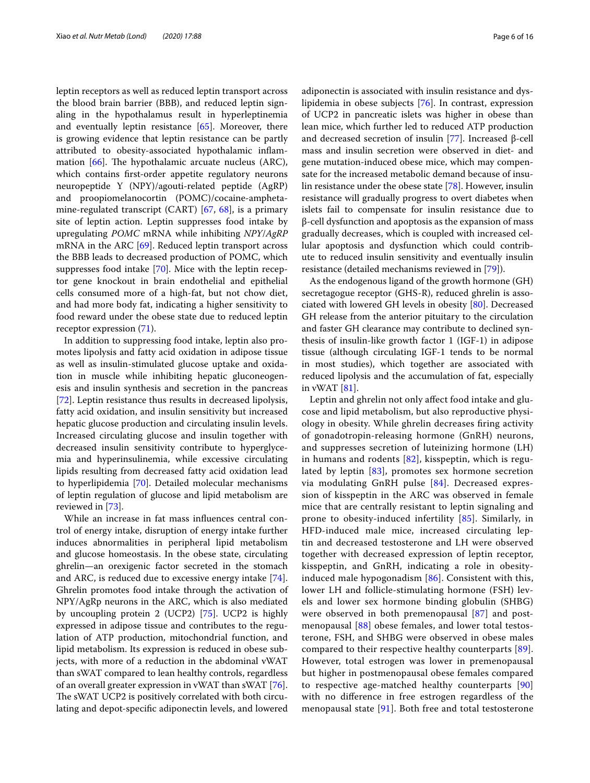leptin receptors as well as reduced leptin transport across the blood brain barrier (BBB), and reduced leptin signaling in the hypothalamus result in hyperleptinemia and eventually leptin resistance [[65\]](#page-13-4). Moreover, there is growing evidence that leptin resistance can be partly attributed to obesity-associated hypothalamic infammation  $[66]$ . The hypothalamic arcuate nucleus (ARC), which contains frst-order appetite regulatory neurons neuropeptide Y (NPY)/agouti-related peptide (AgRP) and proopiomelanocortin (POMC)/cocaine-amphetamine-regulated transcript (CART) [[67,](#page-13-6) [68](#page-13-7)], is a primary site of leptin action. Leptin suppresses food intake by upregulating *POMC* mRNA while inhibiting *NPY*/*AgRP* mRNA in the ARC [[69\]](#page-13-8). Reduced leptin transport across the BBB leads to decreased production of POMC, which suppresses food intake [\[70](#page-13-9)]. Mice with the leptin receptor gene knockout in brain endothelial and epithelial cells consumed more of a high-fat, but not chow diet, and had more body fat, indicating a higher sensitivity to food reward under the obese state due to reduced leptin receptor expression [\(71](#page-13-10)).

In addition to suppressing food intake, leptin also promotes lipolysis and fatty acid oxidation in adipose tissue as well as insulin-stimulated glucose uptake and oxidation in muscle while inhibiting hepatic gluconeogenesis and insulin synthesis and secretion in the pancreas [[72\]](#page-13-11). Leptin resistance thus results in decreased lipolysis, fatty acid oxidation, and insulin sensitivity but increased hepatic glucose production and circulating insulin levels. Increased circulating glucose and insulin together with decreased insulin sensitivity contribute to hyperglycemia and hyperinsulinemia, while excessive circulating lipids resulting from decreased fatty acid oxidation lead to hyperlipidemia [\[70](#page-13-9)]. Detailed molecular mechanisms of leptin regulation of glucose and lipid metabolism are reviewed in [[73](#page-13-12)].

While an increase in fat mass infuences central control of energy intake, disruption of energy intake further induces abnormalities in peripheral lipid metabolism and glucose homeostasis. In the obese state, circulating ghrelin—an orexigenic factor secreted in the stomach and ARC, is reduced due to excessive energy intake [\[74](#page-13-13)]. Ghrelin promotes food intake through the activation of NPY/AgRp neurons in the ARC, which is also mediated by uncoupling protein 2 (UCP2) [[75\]](#page-13-14). UCP2 is highly expressed in adipose tissue and contributes to the regulation of ATP production, mitochondrial function, and lipid metabolism. Its expression is reduced in obese subjects, with more of a reduction in the abdominal vWAT than sWAT compared to lean healthy controls, regardless of an overall greater expression in vWAT than sWAT [\[76](#page-13-15)]. The sWAT UCP2 is positively correlated with both circulating and depot-specifc adiponectin levels, and lowered adiponectin is associated with insulin resistance and dyslipidemia in obese subjects [[76](#page-13-15)]. In contrast, expression of UCP2 in pancreatic islets was higher in obese than lean mice, which further led to reduced ATP production and decreased secretion of insulin [\[77](#page-13-16)]. Increased β-cell mass and insulin secretion were observed in diet- and gene mutation-induced obese mice, which may compensate for the increased metabolic demand because of insulin resistance under the obese state [\[78](#page-13-17)]. However, insulin resistance will gradually progress to overt diabetes when islets fail to compensate for insulin resistance due to β-cell dysfunction and apoptosis as the expansion of mass gradually decreases, which is coupled with increased cellular apoptosis and dysfunction which could contribute to reduced insulin sensitivity and eventually insulin resistance (detailed mechanisms reviewed in [[79\]](#page-13-18)).

As the endogenous ligand of the growth hormone (GH) secretagogue receptor (GHS-R), reduced ghrelin is associated with lowered GH levels in obesity [[80](#page-13-19)]. Decreased GH release from the anterior pituitary to the circulation and faster GH clearance may contribute to declined synthesis of insulin-like growth factor 1 (IGF-1) in adipose tissue (although circulating IGF-1 tends to be normal in most studies), which together are associated with reduced lipolysis and the accumulation of fat, especially in vWAT [[81\]](#page-13-20).

Leptin and ghrelin not only afect food intake and glucose and lipid metabolism, but also reproductive physiology in obesity. While ghrelin decreases fring activity of gonadotropin-releasing hormone (GnRH) neurons, and suppresses secretion of luteinizing hormone (LH) in humans and rodents [[82](#page-13-21)], kisspeptin, which is regulated by leptin [\[83\]](#page-13-22), promotes sex hormone secretion via modulating GnRH pulse [[84\]](#page-13-23). Decreased expression of kisspeptin in the ARC was observed in female mice that are centrally resistant to leptin signaling and prone to obesity-induced infertility [\[85](#page-13-24)]. Similarly, in HFD-induced male mice, increased circulating leptin and decreased testosterone and LH were observed together with decreased expression of leptin receptor, kisspeptin, and GnRH, indicating a role in obesityinduced male hypogonadism [\[86](#page-13-25)]. Consistent with this, lower LH and follicle-stimulating hormone (FSH) levels and lower sex hormone binding globulin (SHBG) were observed in both premenopausal [[87\]](#page-13-26) and postmenopausal [[88\]](#page-13-27) obese females, and lower total testosterone, FSH, and SHBG were observed in obese males compared to their respective healthy counterparts [[89\]](#page-13-28). However, total estrogen was lower in premenopausal but higher in postmenopausal obese females compared to respective age-matched healthy counterparts [\[90](#page-13-29)] with no diference in free estrogen regardless of the menopausal state [\[91\]](#page-13-30). Both free and total testosterone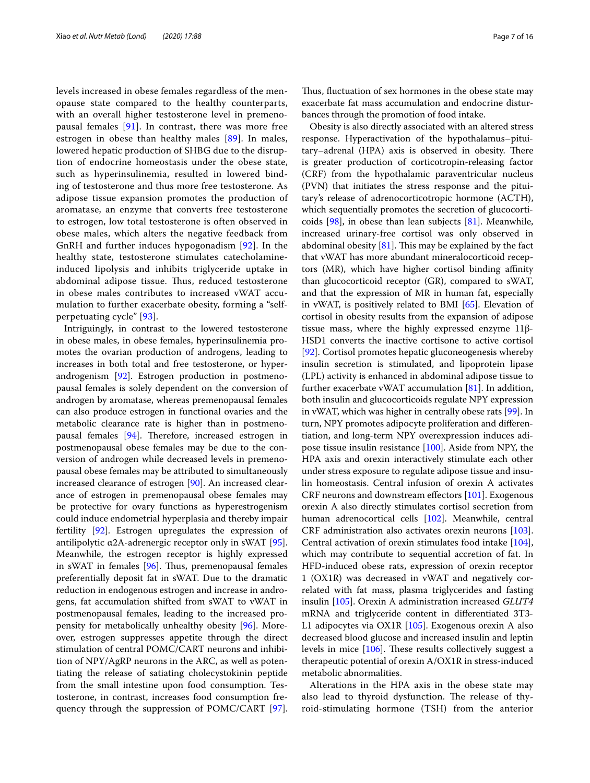levels increased in obese females regardless of the menopause state compared to the healthy counterparts, with an overall higher testosterone level in premenopausal females [[91](#page-13-30)]. In contrast, there was more free estrogen in obese than healthy males [[89](#page-13-28)]. In males, lowered hepatic production of SHBG due to the disruption of endocrine homeostasis under the obese state, such as hyperinsulinemia, resulted in lowered binding of testosterone and thus more free testosterone. As adipose tissue expansion promotes the production of aromatase, an enzyme that converts free testosterone to estrogen, low total testosterone is often observed in obese males, which alters the negative feedback from GnRH and further induces hypogonadism [[92](#page-13-31)]. In the healthy state, testosterone stimulates catecholamineinduced lipolysis and inhibits triglyceride uptake in abdominal adipose tissue. Thus, reduced testosterone in obese males contributes to increased vWAT accumulation to further exacerbate obesity, forming a "selfperpetuating cycle" [\[93](#page-13-32)].

Intriguingly, in contrast to the lowered testosterone in obese males, in obese females, hyperinsulinemia promotes the ovarian production of androgens, leading to increases in both total and free testosterone, or hyperandrogenism [[92\]](#page-13-31). Estrogen production in postmenopausal females is solely dependent on the conversion of androgen by aromatase, whereas premenopausal females can also produce estrogen in functional ovaries and the metabolic clearance rate is higher than in postmenopausal females  $[94]$ . Therefore, increased estrogen in postmenopausal obese females may be due to the conversion of androgen while decreased levels in premenopausal obese females may be attributed to simultaneously increased clearance of estrogen [\[90\]](#page-13-29). An increased clearance of estrogen in premenopausal obese females may be protective for ovary functions as hyperestrogenism could induce endometrial hyperplasia and thereby impair fertility [\[92\]](#page-13-31). Estrogen upregulates the expression of antilipolytic  $\alpha$ 2A-adrenergic receptor only in sWAT [\[95](#page-13-34)]. Meanwhile, the estrogen receptor is highly expressed in sWAT in females  $[96]$  $[96]$ . Thus, premenopausal females preferentially deposit fat in sWAT. Due to the dramatic reduction in endogenous estrogen and increase in androgens, fat accumulation shifted from sWAT to vWAT in postmenopausal females, leading to the increased propensity for metabolically unhealthy obesity [\[96](#page-13-35)]. Moreover, estrogen suppresses appetite through the direct stimulation of central POMC/CART neurons and inhibition of NPY/AgRP neurons in the ARC, as well as potentiating the release of satiating cholecystokinin peptide from the small intestine upon food consumption. Testosterone, in contrast, increases food consumption frequency through the suppression of POMC/CART [\[97](#page-13-36)].

Thus, fluctuation of sex hormones in the obese state may exacerbate fat mass accumulation and endocrine disturbances through the promotion of food intake.

Obesity is also directly associated with an altered stress response. Hyperactivation of the hypothalamus–pituitary–adrenal (HPA) axis is observed in obesity. There is greater production of corticotropin-releasing factor (CRF) from the hypothalamic paraventricular nucleus (PVN) that initiates the stress response and the pituitary's release of adrenocorticotropic hormone (ACTH), which sequentially promotes the secretion of glucocorticoids [[98\]](#page-13-37), in obese than lean subjects [\[81\]](#page-13-20). Meanwhile, increased urinary-free cortisol was only observed in abdominal obesity  $[81]$  $[81]$ . This may be explained by the fact that vWAT has more abundant mineralocorticoid receptors (MR), which have higher cortisol binding affinity than glucocorticoid receptor (GR), compared to sWAT, and that the expression of MR in human fat, especially in vWAT, is positively related to BMI [[65](#page-13-4)]. Elevation of cortisol in obesity results from the expansion of adipose tissue mass, where the highly expressed enzyme 11β-HSD1 converts the inactive cortisone to active cortisol [[92\]](#page-13-31). Cortisol promotes hepatic gluconeogenesis whereby insulin secretion is stimulated, and lipoprotein lipase (LPL) activity is enhanced in abdominal adipose tissue to further exacerbate vWAT accumulation [[81\]](#page-13-20). In addition, both insulin and glucocorticoids regulate NPY expression in vWAT, which was higher in centrally obese rats [\[99](#page-13-38)]. In turn, NPY promotes adipocyte proliferation and diferentiation, and long-term NPY overexpression induces adipose tissue insulin resistance [[100\]](#page-13-39). Aside from NPY, the HPA axis and orexin interactively stimulate each other under stress exposure to regulate adipose tissue and insulin homeostasis. Central infusion of orexin A activates CRF neurons and downstream efectors [[101\]](#page-13-40). Exogenous orexin A also directly stimulates cortisol secretion from human adrenocortical cells [\[102\]](#page-13-41). Meanwhile, central CRF administration also activates orexin neurons [\[103](#page-13-42)]. Central activation of orexin stimulates food intake [\[104](#page-13-43)], which may contribute to sequential accretion of fat. In HFD-induced obese rats, expression of orexin receptor 1 (OX1R) was decreased in vWAT and negatively correlated with fat mass, plasma triglycerides and fasting insulin [[105](#page-13-44)]. Orexin A administration increased *GLUT4* mRNA and triglyceride content in diferentiated 3T3- L1 adipocytes via OX1R [\[105\]](#page-13-44). Exogenous orexin A also decreased blood glucose and increased insulin and leptin levels in mice  $[106]$ . These results collectively suggest a therapeutic potential of orexin A/OX1R in stress-induced metabolic abnormalities.

Alterations in the HPA axis in the obese state may also lead to thyroid dysfunction. The release of thyroid-stimulating hormone (TSH) from the anterior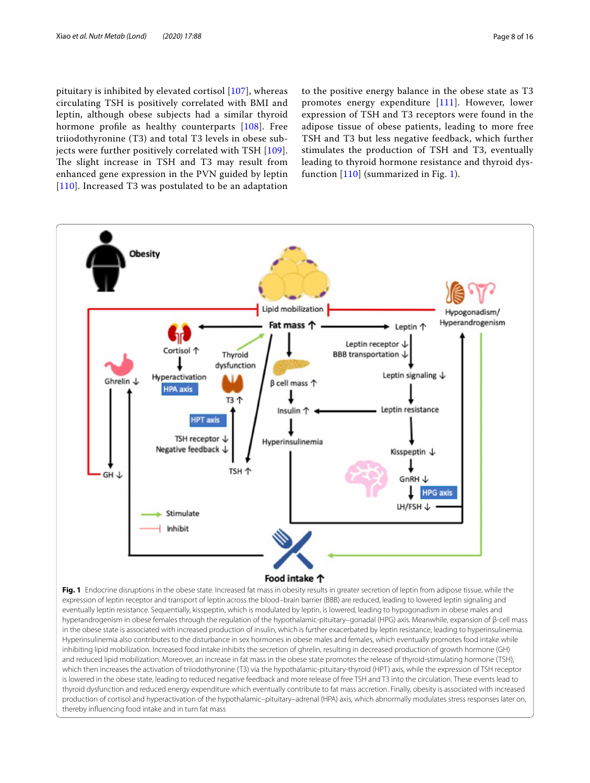pituitary is inhibited by elevated cortisol [[107](#page-14-1)], whereas circulating TSH is positively correlated with BMI and leptin, although obese subjects had a similar thyroid hormone profle as healthy counterparts [\[108](#page-14-2)]. Free triiodothyronine (T3) and total T3 levels in obese subjects were further positively correlated with TSH [[109\]](#page-14-3). The slight increase in TSH and T3 may result from enhanced gene expression in the PVN guided by leptin [[110](#page-14-4)]. Increased T3 was postulated to be an adaptation

to the positive energy balance in the obese state as T3 promotes energy expenditure [[111\]](#page-14-5). However, lower expression of TSH and T3 receptors were found in the adipose tissue of obese patients, leading to more free TSH and T3 but less negative feedback, which further stimulates the production of TSH and T3, eventually leading to thyroid hormone resistance and thyroid dysfunction  $[110]$  (summarized in Fig. [1](#page-7-0)).



<span id="page-7-0"></span>Fig. 1 Endocrine disruptions in the obese state. Increased fat mass in obesity results in greater secretion of leptin from adipose tissue, while the expression of leptin receptor and transport of leptin across the blood–brain barrier (BBB) are reduced, leading to lowered leptin signaling and eventually leptin resistance. Sequentially, kisspeptin, which is modulated by leptin, is lowered, leading to hypogonadism in obese males and hyperandrogenism in obese females through the regulation of the hypothalamic-pituitary–gonadal (HPG) axis. Meanwhile, expansion of β-cell mass in the obese state is associated with increased production of insulin, which is further exacerbated by leptin resistance, leading to hyperinsulinemia. Hyperinsulinemia also contributes to the disturbance in sex hormones in obese males and females, which eventually promotes food intake while inhibiting lipid mobilization. Increased food intake inhibits the secretion of ghrelin, resulting in decreased production of growth hormone (GH) and reduced lipid mobilization. Moreover, an increase in fat mass in the obese state promotes the release of thyroid-stimulating hormone (TSH), which then increases the activation of triiodothyronine (T3) via the hypothalamic-pituitary-thyroid (HPT) axis, while the expression of TSH receptor is lowered in the obese state, leading to reduced negative feedback and more release of free TSH and T3 into the circulation. These events lead to thyroid dysfunction and reduced energy expenditure which eventually contribute to fat mass accretion. Finally, obesity is associated with increased production of cortisol and hyperactivation of the hypothalamic–pituitary–adrenal (HPA) axis, which abnormally modulates stress responses later on, thereby infuencing food intake and in turn fat mass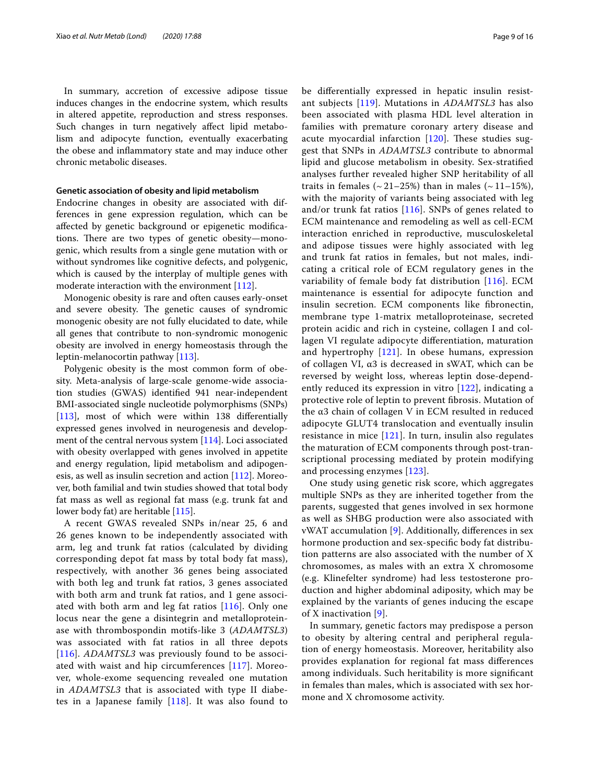In summary, accretion of excessive adipose tissue induces changes in the endocrine system, which results in altered appetite, reproduction and stress responses. Such changes in turn negatively afect lipid metabolism and adipocyte function, eventually exacerbating the obese and infammatory state and may induce other chronic metabolic diseases.

#### **Genetic association of obesity and lipid metabolism**

Endocrine changes in obesity are associated with differences in gene expression regulation, which can be afected by genetic background or epigenetic modifcations. There are two types of genetic obesity—monogenic, which results from a single gene mutation with or without syndromes like cognitive defects, and polygenic, which is caused by the interplay of multiple genes with moderate interaction with the environment [\[112\]](#page-14-6).

Monogenic obesity is rare and often causes early-onset and severe obesity. The genetic causes of syndromic monogenic obesity are not fully elucidated to date, while all genes that contribute to non-syndromic monogenic obesity are involved in energy homeostasis through the leptin-melanocortin pathway [[113\]](#page-14-7).

Polygenic obesity is the most common form of obesity. Meta-analysis of large-scale genome-wide association studies (GWAS) identifed 941 near-independent BMI-associated single nucleotide polymorphisms (SNPs) [[113\]](#page-14-7), most of which were within 138 diferentially expressed genes involved in neurogenesis and development of the central nervous system [[114](#page-14-8)]. Loci associated with obesity overlapped with genes involved in appetite and energy regulation, lipid metabolism and adipogenesis, as well as insulin secretion and action [[112](#page-14-6)]. Moreover, both familial and twin studies showed that total body fat mass as well as regional fat mass (e.g. trunk fat and lower body fat) are heritable [\[115\]](#page-14-9).

A recent GWAS revealed SNPs in/near 25, 6 and 26 genes known to be independently associated with arm, leg and trunk fat ratios (calculated by dividing corresponding depot fat mass by total body fat mass), respectively, with another 36 genes being associated with both leg and trunk fat ratios, 3 genes associated with both arm and trunk fat ratios, and 1 gene associated with both arm and leg fat ratios  $[116]$  $[116]$  $[116]$ . Only one locus near the gene a disintegrin and metalloproteinase with thrombospondin motifs-like 3 (*ADAMTSL3*) was associated with fat ratios in all three depots [[116](#page-14-10)]. *ADAMTSL3* was previously found to be associated with waist and hip circumferences [\[117](#page-14-11)]. Moreover, whole-exome sequencing revealed one mutation in *ADAMTSL3* that is associated with type II diabetes in a Japanese family  $[118]$  $[118]$ . It was also found to be diferentially expressed in hepatic insulin resistant subjects [\[119\]](#page-14-13). Mutations in *ADAMTSL3* has also been associated with plasma HDL level alteration in families with premature coronary artery disease and acute myocardial infarction  $[120]$  $[120]$ . These studies suggest that SNPs in *ADAMTSL3* contribute to abnormal lipid and glucose metabolism in obesity. Sex-stratifed analyses further revealed higher SNP heritability of all traits in females ( $\sim$  21–25%) than in males ( $\sim$  11–15%), with the majority of variants being associated with leg and/or trunk fat ratios [[116\]](#page-14-10). SNPs of genes related to ECM maintenance and remodeling as well as cell-ECM interaction enriched in reproductive, musculoskeletal and adipose tissues were highly associated with leg and trunk fat ratios in females, but not males, indicating a critical role of ECM regulatory genes in the variability of female body fat distribution [[116](#page-14-10)]. ECM maintenance is essential for adipocyte function and insulin secretion. ECM components like fbronectin, membrane type 1-matrix metalloproteinase, secreted protein acidic and rich in cysteine, collagen I and collagen VI regulate adipocyte diferentiation, maturation and hypertrophy  $[121]$  $[121]$ . In obese humans, expression of collagen VI, α3 is decreased in sWAT, which can be reversed by weight loss, whereas leptin dose-dependently reduced its expression in vitro [[122\]](#page-14-16), indicating a protective role of leptin to prevent fbrosis. Mutation of the α3 chain of collagen V in ECM resulted in reduced adipocyte GLUT4 translocation and eventually insulin resistance in mice  $[121]$  $[121]$ . In turn, insulin also regulates the maturation of ECM components through post-transcriptional processing mediated by protein modifying and processing enzymes [\[123\]](#page-14-17).

One study using genetic risk score, which aggregates multiple SNPs as they are inherited together from the parents, suggested that genes involved in sex hormone as well as SHBG production were also associated with vWAT accumulation [[9\]](#page-11-7). Additionally, diferences in sex hormone production and sex-specifc body fat distribution patterns are also associated with the number of X chromosomes, as males with an extra X chromosome (e.g. Klinefelter syndrome) had less testosterone production and higher abdominal adiposity, which may be explained by the variants of genes inducing the escape of X inactivation [[9\]](#page-11-7).

In summary, genetic factors may predispose a person to obesity by altering central and peripheral regulation of energy homeostasis. Moreover, heritability also provides explanation for regional fat mass diferences among individuals. Such heritability is more signifcant in females than males, which is associated with sex hormone and X chromosome activity.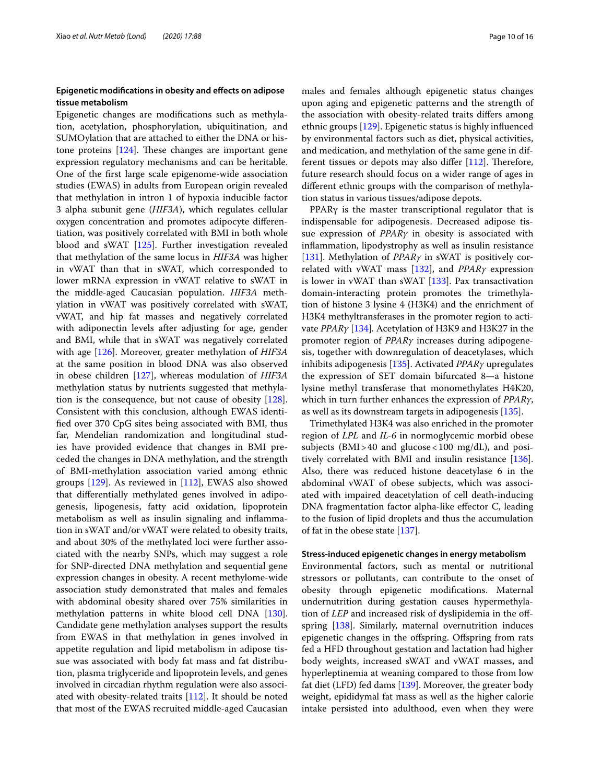# **Epigenetic modifcations in obesity and efects on adipose tissue metabolism**

Epigenetic changes are modifcations such as methylation, acetylation, phosphorylation, ubiquitination, and SUMOylation that are attached to either the DNA or histone proteins  $[124]$ . These changes are important gene expression regulatory mechanisms and can be heritable. One of the frst large scale epigenome-wide association studies (EWAS) in adults from European origin revealed that methylation in intron 1 of hypoxia inducible factor 3 alpha subunit gene (*HIF3A*), which regulates cellular oxygen concentration and promotes adipocyte diferentiation, was positively correlated with BMI in both whole blood and sWAT [\[125](#page-14-19)]. Further investigation revealed that methylation of the same locus in *HIF3A* was higher in vWAT than that in sWAT, which corresponded to lower mRNA expression in vWAT relative to sWAT in the middle-aged Caucasian population. *HIF3A* methylation in vWAT was positively correlated with sWAT, vWAT, and hip fat masses and negatively correlated with adiponectin levels after adjusting for age, gender and BMI, while that in sWAT was negatively correlated with age [\[126](#page-14-20)]. Moreover, greater methylation of *HIF3A* at the same position in blood DNA was also observed in obese children [\[127](#page-14-21)], whereas modulation of *HIF3A* methylation status by nutrients suggested that methylation is the consequence, but not cause of obesity [\[128](#page-14-22)]. Consistent with this conclusion, although EWAS identifed over 370 CpG sites being associated with BMI, thus far, Mendelian randomization and longitudinal studies have provided evidence that changes in BMI preceded the changes in DNA methylation, and the strength of BMI-methylation association varied among ethnic groups [[129](#page-14-23)]. As reviewed in [\[112](#page-14-6)], EWAS also showed that diferentially methylated genes involved in adipogenesis, lipogenesis, fatty acid oxidation, lipoprotein metabolism as well as insulin signaling and infammation in sWAT and/or vWAT were related to obesity traits, and about 30% of the methylated loci were further associated with the nearby SNPs, which may suggest a role for SNP-directed DNA methylation and sequential gene expression changes in obesity. A recent methylome-wide association study demonstrated that males and females with abdominal obesity shared over 75% similarities in methylation patterns in white blood cell DNA [\[130](#page-14-24)]. Candidate gene methylation analyses support the results from EWAS in that methylation in genes involved in appetite regulation and lipid metabolism in adipose tissue was associated with body fat mass and fat distribution, plasma triglyceride and lipoprotein levels, and genes involved in circadian rhythm regulation were also associated with obesity-related traits [\[112](#page-14-6)]. It should be noted that most of the EWAS recruited middle-aged Caucasian males and females although epigenetic status changes upon aging and epigenetic patterns and the strength of the association with obesity-related traits difers among ethnic groups [\[129\]](#page-14-23). Epigenetic status is highly infuenced by environmental factors such as diet, physical activities, and medication, and methylation of the same gene in different tissues or depots may also differ  $[112]$ . Therefore, future research should focus on a wider range of ages in diferent ethnic groups with the comparison of methylation status in various tissues/adipose depots.

PPARγ is the master transcriptional regulator that is indispensable for adipogenesis. Decreased adipose tissue expression of *PPARγ* in obesity is associated with infammation, lipodystrophy as well as insulin resistance [[131\]](#page-14-25). Methylation of *PPARγ* in sWAT is positively correlated with vWAT mass [[132](#page-14-26)], and *PPARγ* expression is lower in vWAT than sWAT [[133](#page-14-27)]. Pax transactivation domain-interacting protein promotes the trimethylation of histone 3 lysine 4 (H3K4) and the enrichment of H3K4 methyltransferases in the promoter region to activate *PPARγ* [[134](#page-14-28)]*.* Acetylation of H3K9 and H3K27 in the promoter region of *PPARγ* increases during adipogenesis, together with downregulation of deacetylases, which inhibits adipogenesis [\[135\]](#page-14-29). Activated *PPARγ* upregulates the expression of SET domain bifurcated 8—a histone lysine methyl transferase that monomethylates H4K20, which in turn further enhances the expression of *PPARγ*, as well as its downstream targets in adipogenesis [\[135](#page-14-29)].

Trimethylated H3K4 was also enriched in the promoter region of *LPL* and *IL-6* in normoglycemic morbid obese subjects (BMI>40 and glucose<100 mg/dL), and positively correlated with BMI and insulin resistance [\[136](#page-14-30)]. Also, there was reduced histone deacetylase 6 in the abdominal vWAT of obese subjects, which was associated with impaired deacetylation of cell death-inducing DNA fragmentation factor alpha-like effector C, leading to the fusion of lipid droplets and thus the accumulation of fat in the obese state [[137\]](#page-14-31).

## **Stress‑induced epigenetic changes in energy metabolism**

Environmental factors, such as mental or nutritional stressors or pollutants, can contribute to the onset of obesity through epigenetic modifcations. Maternal undernutrition during gestation causes hypermethylation of *LEP* and increased risk of dyslipidemia in the offspring [\[138](#page-14-32)]. Similarly, maternal overnutrition induces epigenetic changes in the ofspring. Ofspring from rats fed a HFD throughout gestation and lactation had higher body weights, increased sWAT and vWAT masses, and hyperleptinemia at weaning compared to those from low fat diet (LFD) fed dams [[139\]](#page-14-33). Moreover, the greater body weight, epididymal fat mass as well as the higher calorie intake persisted into adulthood, even when they were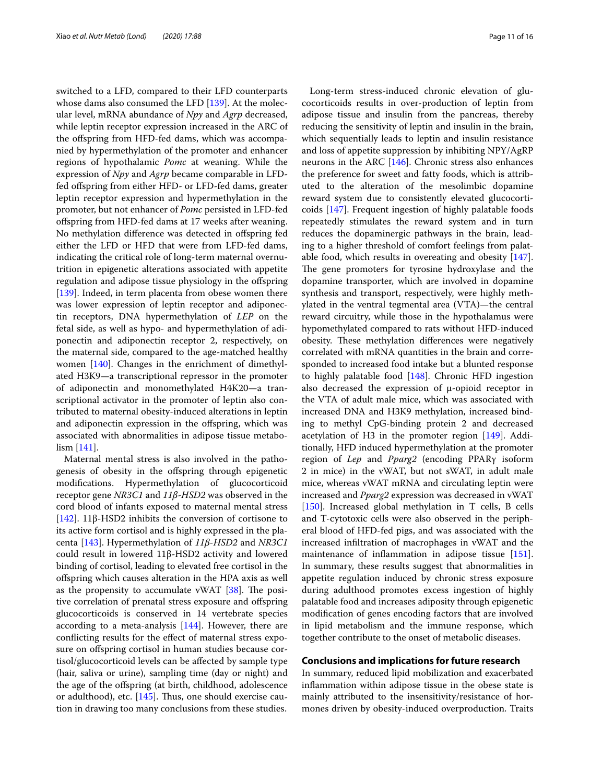switched to a LFD, compared to their LFD counterparts whose dams also consumed the LFD [[139](#page-14-33)]. At the molecular level, mRNA abundance of *Npy* and *Agrp* decreased, while leptin receptor expression increased in the ARC of the ofspring from HFD-fed dams, which was accompanied by hypermethylation of the promoter and enhancer regions of hypothalamic *Pomc* at weaning. While the expression of *Npy* and *Agrp* became comparable in LFDfed ofspring from either HFD- or LFD-fed dams, greater leptin receptor expression and hypermethylation in the promoter, but not enhancer of *Pomc* persisted in LFD-fed ofspring from HFD-fed dams at 17 weeks after weaning. No methylation diference was detected in ofspring fed either the LFD or HFD that were from LFD-fed dams, indicating the critical role of long-term maternal overnutrition in epigenetic alterations associated with appetite regulation and adipose tissue physiology in the ofspring [[139\]](#page-14-33). Indeed, in term placenta from obese women there was lower expression of leptin receptor and adiponectin receptors, DNA hypermethylation of *LEP* on the fetal side, as well as hypo- and hypermethylation of adiponectin and adiponectin receptor 2, respectively, on the maternal side, compared to the age-matched healthy women [\[140\]](#page-14-34). Changes in the enrichment of dimethylated H3K9—a transcriptional repressor in the promoter of adiponectin and monomethylated H4K20—a transcriptional activator in the promoter of leptin also contributed to maternal obesity-induced alterations in leptin and adiponectin expression in the ofspring, which was associated with abnormalities in adipose tissue metabolism [\[141](#page-14-35)].

Maternal mental stress is also involved in the pathogenesis of obesity in the ofspring through epigenetic modifcations. Hypermethylation of glucocorticoid receptor gene *NR3C1* and *11β-HSD2* was observed in the cord blood of infants exposed to maternal mental stress [[142\]](#page-14-36). 11β-HSD2 inhibits the conversion of cortisone to its active form cortisol and is highly expressed in the placenta [[143\]](#page-14-37). Hypermethylation of *11β-HSD2* and *NR3C1* could result in lowered 11β-HSD2 activity and lowered binding of cortisol, leading to elevated free cortisol in the ofspring which causes alteration in the HPA axis as well as the propensity to accumulate vWAT  $[38]$ . The positive correlation of prenatal stress exposure and ofspring glucocorticoids is conserved in 14 vertebrate species according to a meta-analysis [\[144](#page-14-38)]. However, there are conficting results for the efect of maternal stress exposure on ofspring cortisol in human studies because cortisol/glucocorticoid levels can be afected by sample type (hair, saliva or urine), sampling time (day or night) and the age of the ofspring (at birth, childhood, adolescence or adulthood), etc.  $[145]$  $[145]$ . Thus, one should exercise caution in drawing too many conclusions from these studies.

Long-term stress-induced chronic elevation of glucocorticoids results in over-production of leptin from adipose tissue and insulin from the pancreas, thereby reducing the sensitivity of leptin and insulin in the brain, which sequentially leads to leptin and insulin resistance and loss of appetite suppression by inhibiting NPY/AgRP neurons in the ARC [\[146\]](#page-14-40). Chronic stress also enhances the preference for sweet and fatty foods, which is attributed to the alteration of the mesolimbic dopamine reward system due to consistently elevated glucocorticoids [\[147](#page-14-41)]. Frequent ingestion of highly palatable foods repeatedly stimulates the reward system and in turn reduces the dopaminergic pathways in the brain, leading to a higher threshold of comfort feelings from palatable food, which results in overeating and obesity [\[147](#page-14-41)]. The gene promoters for tyrosine hydroxylase and the dopamine transporter, which are involved in dopamine synthesis and transport, respectively, were highly methylated in the ventral tegmental area (VTA)—the central reward circuitry, while those in the hypothalamus were hypomethylated compared to rats without HFD-induced obesity. These methylation differences were negatively correlated with mRNA quantities in the brain and corresponded to increased food intake but a blunted response to highly palatable food [\[148\]](#page-14-42). Chronic HFD ingestion also decreased the expression of μ-opioid receptor in the VTA of adult male mice, which was associated with increased DNA and H3K9 methylation, increased binding to methyl CpG-binding protein 2 and decreased acetylation of H3 in the promoter region [\[149](#page-15-0)]. Additionally, HFD induced hypermethylation at the promoter region of *Lep* and *Pparg2* (encoding PPARγ isoform 2 in mice) in the vWAT, but not sWAT, in adult male mice, whereas vWAT mRNA and circulating leptin were increased and *Pparg2* expression was decreased in vWAT [[150\]](#page-15-1). Increased global methylation in T cells, B cells and T-cytotoxic cells were also observed in the peripheral blood of HFD-fed pigs, and was associated with the increased infltration of macrophages in vWAT and the maintenance of infammation in adipose tissue [\[151](#page-15-2)]. In summary, these results suggest that abnormalities in appetite regulation induced by chronic stress exposure during adulthood promotes excess ingestion of highly palatable food and increases adiposity through epigenetic modifcation of genes encoding factors that are involved in lipid metabolism and the immune response, which together contribute to the onset of metabolic diseases.

## **Conclusions and implications for future research**

In summary, reduced lipid mobilization and exacerbated infammation within adipose tissue in the obese state is mainly attributed to the insensitivity/resistance of hormones driven by obesity-induced overproduction. Traits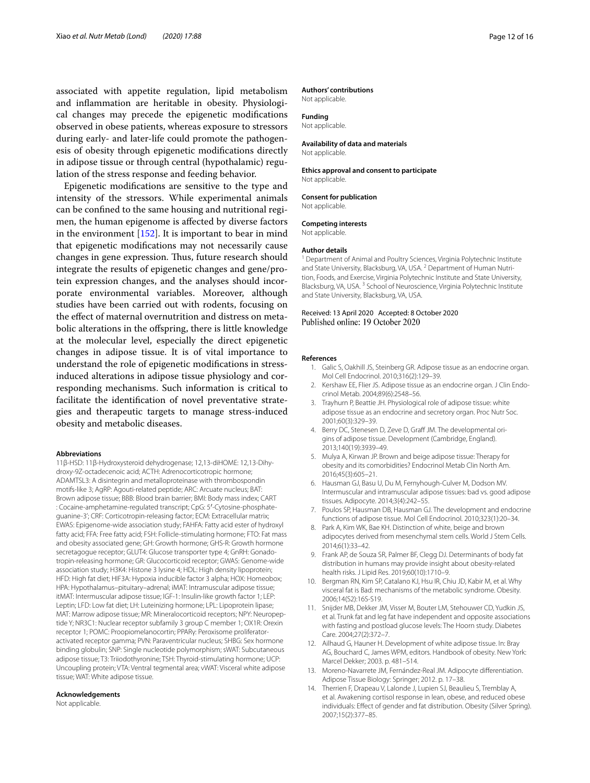associated with appetite regulation, lipid metabolism and infammation are heritable in obesity. Physiological changes may precede the epigenetic modifcations observed in obese patients, whereas exposure to stressors during early- and later-life could promote the pathogenesis of obesity through epigenetic modifcations directly in adipose tissue or through central (hypothalamic) regulation of the stress response and feeding behavior.

Epigenetic modifcations are sensitive to the type and intensity of the stressors. While experimental animals can be confned to the same housing and nutritional regimen, the human epigenome is afected by diverse factors in the environment  $[152]$  $[152]$  $[152]$ . It is important to bear in mind that epigenetic modifcations may not necessarily cause changes in gene expression. Thus, future research should integrate the results of epigenetic changes and gene/protein expression changes, and the analyses should incorporate environmental variables. Moreover, although studies have been carried out with rodents, focusing on the efect of maternal overnutrition and distress on metabolic alterations in the ofspring, there is little knowledge at the molecular level, especially the direct epigenetic changes in adipose tissue. It is of vital importance to understand the role of epigenetic modifcations in stressinduced alterations in adipose tissue physiology and corresponding mechanisms. Such information is critical to facilitate the identifcation of novel preventative strategies and therapeutic targets to manage stress-induced obesity and metabolic diseases.

#### **Abbreviations**

11β-HSD: 11β-Hydroxysteroid dehydrogenase; 12,13-diHOME: 12,13-Dihydroxy-9Z-octadecenoic acid; ACTH: Adrenocorticotropic hormone; ADAMTSL3: A disintegrin and metalloproteinase with thrombospondin motifs-like 3; AgRP: Agouti-related peptide; ARC: Arcuate nucleus; BAT: Brown adipose tissue; BBB: Blood brain barrier; BMI: Body mass index; CART : Cocaine-amphetamine-regulated transcript; CpG: 5′-Cytosine-phosphateguanine-3'; CRF: Corticotropin-releasing factor; ECM: Extracellular matrix; EWAS: Epigenome-wide association study; FAHFA: Fatty acid ester of hydroxyl fatty acid; FFA: Free fatty acid; FSH: Follicle-stimulating hormone; FTO: Fat mass and obesity associated gene; GH: Growth hormone; GHS-R: Growth hormone secretagogue receptor; GLUT4: Glucose transporter type 4; GnRH: Gonadotropin-releasing hormone; GR: Glucocorticoid receptor; GWAS: Genome-wide association study; H3K4: Histone 3 lysine 4; HDL: High density lipoprotein; HFD: High fat diet; HIF3A: Hypoxia inducible factor 3 alpha; HOX: Homeobox; HPA: Hypothalamus–pituitary–adrenal; iMAT: Intramuscular adipose tissue; itMAT: Intermuscular adipose tissue; IGF-1: Insulin-like growth factor 1; LEP: Leptin; LFD: Low fat diet; LH: Luteinizing hormone; LPL: Lipoprotein lipase; MAT: Marrow adipose tissue; MR: Mineralocorticoid receptors; NPY: Neuropeptide Y; NR3C1: Nuclear receptor subfamily 3 group C member 1; OX1R: Orexin receptor 1; POMC: Proopiomelanocortin; PPARγ: Peroxisome proliferatoractivated receptor gamma; PVN: Paraventricular nucleus; SHBG: Sex hormone binding globulin; SNP: Single nucleotide polymorphism; sWAT: Subcutaneous adipose tissue; T3: Triiodothyronine; TSH: Thyroid-stimulating hormone; UCP: Uncoupling protein; VTA: Ventral tegmental area; vWAT: Visceral white adipose tissue; WAT: White adipose tissue.

#### **Acknowledgements**

Not applicable.

#### **Authors' contributions**

Not applicable.

## **Funding**

Not applicable.

#### **Availability of data and materials**

Not applicable.

## **Ethics approval and consent to participate**

Not applicable.

**Consent for publication** Not applicable.

# **Competing interests**

Not applicable.

#### **Author details**

<sup>1</sup> Department of Animal and Poultry Sciences, Virginia Polytechnic Institute and State University, Blacksburg, VA, USA.<sup>2</sup> Department of Human Nutrition, Foods, and Exercise, Virginia Polytechnic Institute and State University, Blacksburg, VA, USA. 3 School of Neuroscience, Virginia Polytechnic Institute and State University, Blacksburg, VA, USA.

## Received: 13 April 2020 Accepted: 8 October 2020 Published online: 19 October 2020

#### <span id="page-11-0"></span>**References**

- 1. Galic S, Oakhill JS, Steinberg GR. Adipose tissue as an endocrine organ. Mol Cell Endocrinol. 2010;316(2):129–39.
- <span id="page-11-13"></span>2. Kershaw EE, Flier JS. Adipose tissue as an endocrine organ. J Clin Endocrinol Metab. 2004;89(6):2548–56.
- <span id="page-11-1"></span>3. Trayhurn P, Beattie JH. Physiological role of adipose tissue: white adipose tissue as an endocrine and secretory organ. Proc Nutr Soc. 2001;60(3):329–39.
- <span id="page-11-2"></span>4. Berry DC, Stenesen D, Zeve D, Graff JM. The developmental origins of adipose tissue. Development (Cambridge, England). 2013;140(19):3939–49.
- <span id="page-11-3"></span>5. Mulya A, Kirwan JP. Brown and beige adipose tissue: Therapy for obesity and its comorbidities? Endocrinol Metab Clin North Am. 2016;45(3):605–21.
- <span id="page-11-4"></span>6. Hausman GJ, Basu U, Du M, Fernyhough-Culver M, Dodson MV. Intermuscular and intramuscular adipose tissues: bad vs. good adipose tissues. Adipocyte. 2014;3(4):242–55.
- <span id="page-11-5"></span>7. Poulos SP, Hausman DB, Hausman GJ. The development and endocrine functions of adipose tissue. Mol Cell Endocrinol. 2010;323(1):20–34.
- <span id="page-11-6"></span>8. Park A, Kim WK, Bae KH. Distinction of white, beige and brown adipocytes derived from mesenchymal stem cells. World J Stem Cells. 2014;6(1):33–42.
- <span id="page-11-7"></span>9. Frank AP, de Souza SR, Palmer BF, Clegg DJ. Determinants of body fat distribution in humans may provide insight about obesity-related health risks. J Lipid Res. 2019;60(10):1710–9.
- <span id="page-11-8"></span>10. Bergman RN, Kim SP, Catalano KJ, Hsu IR, Chiu JD, Kabir M, et al. Why visceral fat is Bad: mechanisms of the metabolic syndrome. Obesity. 2006;14(S2):16S-S19.
- <span id="page-11-9"></span>11. Snijder MB, Dekker JM, Visser M, Bouter LM, Stehouwer CD, Yudkin JS, et al. Trunk fat and leg fat have independent and opposite associations with fasting and postload glucose levels: The Hoorn study. Diabetes Care. 2004;27(2):372–7.
- <span id="page-11-10"></span>12. Ailhaud G, Hauner H. Development of white adipose tissue. In: Bray AG, Bouchard C, James WPM, editors. Handbook of obesity. New York: Marcel Dekker; 2003. p. 481–514.
- <span id="page-11-11"></span>13. Moreno-Navarrete JM, Fernández-Real JM. Adipocyte diferentiation. Adipose Tissue Biology: Springer; 2012. p. 17–38.
- <span id="page-11-12"></span>14. Therrien F, Drapeau V, Lalonde J, Lupien SJ, Beaulieu S, Tremblay A, et al. Awakening cortisol response in lean, obese, and reduced obese individuals: Efect of gender and fat distribution. Obesity (Silver Spring). 2007;15(2):377–85.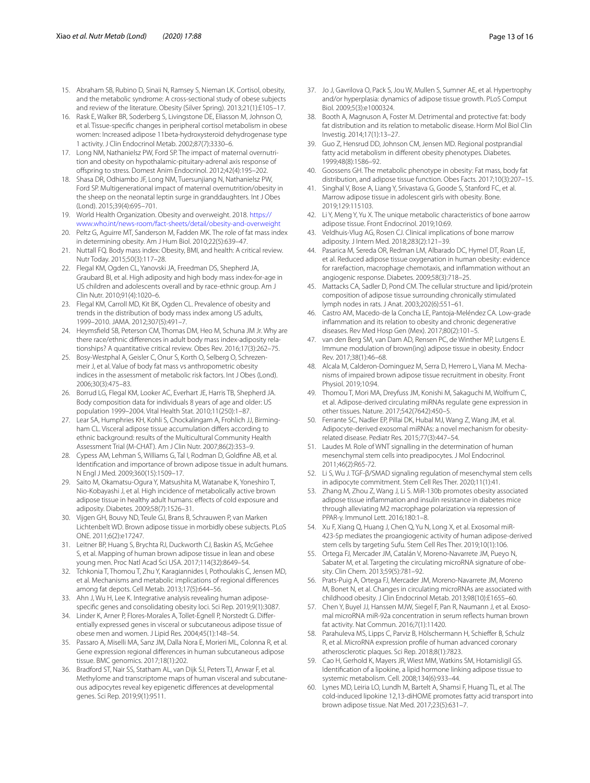- <span id="page-12-0"></span>15. Abraham SB, Rubino D, Sinaii N, Ramsey S, Nieman LK. Cortisol, obesity, and the metabolic syndrome: A cross-sectional study of obese subjects and review of the literature. Obesity (Silver Spring). 2013;21(1):E105–17.
- <span id="page-12-1"></span>16. Rask E, Walker BR, Soderberg S, Livingstone DE, Eliasson M, Johnson O, et al. Tissue-specifc changes in peripheral cortisol metabolism in obese women: Increased adipose 11beta-hydroxysteroid dehydrogenase type 1 activity. J Clin Endocrinol Metab. 2002;87(7):3330–6.
- <span id="page-12-2"></span>17. Long NM, Nathanielsz PW, Ford SP. The impact of maternal overnutrition and obesity on hypothalamic-pituitary-adrenal axis response of ofspring to stress. Domest Anim Endocrinol. 2012;42(4):195–202.
- <span id="page-12-3"></span>18. Shasa DR, Odhiambo JF, Long NM, Tuersunjiang N, Nathanielsz PW, Ford SP. Multigenerational impact of maternal overnutrition/obesity in the sheep on the neonatal leptin surge in granddaughters. Int J Obes (Lond). 2015;39(4):695–701.
- <span id="page-12-4"></span>19. World Health Organization. Obesity and overweight. 2018. [https://](https://www.who.int/news-room/fact-sheets/detail/obesity-and-overweight) [www.who.int/news-room/fact-sheets/detail/obesity-and-overweight](https://www.who.int/news-room/fact-sheets/detail/obesity-and-overweight)
- <span id="page-12-5"></span>20. Peltz G, Aguirre MT, Sanderson M, Fadden MK. The role of fat mass index in determining obesity. Am J Hum Biol. 2010;22(5):639–47.
- <span id="page-12-6"></span>21. Nuttall FQ. Body mass index: Obesity, BMI, and health: A critical review. Nutr Today. 2015;50(3):117–28.
- <span id="page-12-7"></span>22. Flegal KM, Ogden CL, Yanovski JA, Freedman DS, Shepherd JA, Graubard BI, et al. High adiposity and high body mass index-for-age in US children and adolescents overall and by race-ethnic group. Am J Clin Nutr. 2010;91(4):1020–6.
- <span id="page-12-8"></span>23. Flegal KM, Carroll MD, Kit BK, Ogden CL. Prevalence of obesity and trends in the distribution of body mass index among US adults, 1999–2010. JAMA. 2012;307(5):491–7.
- <span id="page-12-9"></span>24. Heymsfeld SB, Peterson CM, Thomas DM, Heo M, Schuna JM Jr. Why are there race/ethnic diferences in adult body mass index-adiposity relationships? A quantitative critical review. Obes Rev. 2016;17(3):262–75.
- <span id="page-12-10"></span>25. Bosy-Westphal A, Geisler C, Onur S, Korth O, Selberg O, Schrezenmeir J, et al. Value of body fat mass vs anthropometric obesity indices in the assessment of metabolic risk factors. Int J Obes (Lond). 2006;30(3):475–83.
- <span id="page-12-11"></span>26. Borrud LG, Flegal KM, Looker AC, Everhart JE, Harris TB, Shepherd JA. Body composition data for individuals 8 years of age and older: US population 1999–2004. Vital Health Stat. 2010;11(250):1–87.
- <span id="page-12-12"></span>27. Lear SA, Humphries KH, Kohli S, Chockalingam A, Frohlich JJ, Birmingham CL. Visceral adipose tissue accumulation difers according to ethnic background: results of the Multicultural Community Health Assessment Trial (M-CHAT). Am J Clin Nutr. 2007;86(2):353–9.
- <span id="page-12-13"></span>28. Cypess AM, Lehman S, Williams G, Tal I, Rodman D, Goldfne AB, et al. Identifcation and importance of brown adipose tissue in adult humans. N Engl J Med. 2009;360(15):1509–17.
- <span id="page-12-14"></span>29. Saito M, Okamatsu-Ogura Y, Matsushita M, Watanabe K, Yoneshiro T, Nio-Kobayashi J, et al. High incidence of metabolically active brown adipose tissue in healthy adult humans: effects of cold exposure and adiposity. Diabetes. 2009;58(7):1526–31.
- <span id="page-12-15"></span>30. Vijgen GH, Bouvy ND, Teule GJ, Brans B, Schrauwen P, van Marken Lichtenbelt WD. Brown adipose tissue in morbidly obese subjects. PLoS ONE. 2011;6(2):e17247.
- <span id="page-12-16"></span>31. Leitner BP, Huang S, Brychta RJ, Duckworth CJ, Baskin AS, McGehee S, et al. Mapping of human brown adipose tissue in lean and obese young men. Proc Natl Acad Sci USA. 2017;114(32):8649–54.
- <span id="page-12-17"></span>32. Tchkonia T, Thomou T, Zhu Y, Karagiannides I, Pothoulakis C, Jensen MD, et al. Mechanisms and metabolic implications of regional diferences among fat depots. Cell Metab. 2013;17(5):644–56.
- <span id="page-12-18"></span>33. Ahn J, Wu H, Lee K. Integrative analysis revealing human adiposespecifc genes and consolidating obesity loci. Sci Rep. 2019;9(1):3087.
- <span id="page-12-19"></span>34. Linder K, Arner P, Flores-Morales A, Tollet-Egnell P, Norstedt G. Diferentially expressed genes in visceral or subcutaneous adipose tissue of obese men and women. J Lipid Res. 2004;45(1):148–54.
- Passaro A, Miselli MA, Sanz JM, Dalla Nora E, Morieri ML, Colonna R, et al. Gene expression regional diferences in human subcutaneous adipose tissue. BMC genomics. 2017;18(1):202.
- <span id="page-12-20"></span>36. Bradford ST, Nair SS, Statham AL, van Dijk SJ, Peters TJ, Anwar F, et al. Methylome and transcriptome maps of human visceral and subcutaneous adipocytes reveal key epigenetic diferences at developmental genes. Sci Rep. 2019;9(1):9511.
- <span id="page-12-21"></span>37. Jo J, Gavrilova O, Pack S, Jou W, Mullen S, Sumner AE, et al. Hypertrophy and/or hyperplasia: dynamics of adipose tissue growth. PLoS Comput Biol. 2009;5(3):e1000324.
- <span id="page-12-22"></span>38. Booth A, Magnuson A, Foster M. Detrimental and protective fat: body fat distribution and its relation to metabolic disease. Horm Mol Biol Clin Investig. 2014;17(1):13–27.
- <span id="page-12-23"></span>39. Guo Z, Hensrud DD, Johnson CM, Jensen MD. Regional postprandial fatty acid metabolism in diferent obesity phenotypes. Diabetes. 1999;48(8):1586–92.
- <span id="page-12-24"></span>40. Goossens GH. The metabolic phenotype in obesity: Fat mass, body fat distribution, and adipose tissue function. Obes Facts. 2017;10(3):207–15.
- <span id="page-12-25"></span>41. Singhal V, Bose A, Liang Y, Srivastava G, Goode S, Stanford FC, et al. Marrow adipose tissue in adolescent girls with obesity. Bone. 2019;129:115103.
- <span id="page-12-26"></span>42. Li Y, Meng Y, Yu X. The unique metabolic characteristics of bone aarrow adipose tissue. Front Endocrinol. 2019;10:69.
- <span id="page-12-27"></span>43. Veldhuis-Vlug AG, Rosen CJ. Clinical implications of bone marrow adiposity. J Intern Med. 2018;283(2):121–39.
- <span id="page-12-28"></span>44. Pasarica M, Sereda OR, Redman LM, Albarado DC, Hymel DT, Roan LE, et al. Reduced adipose tissue oxygenation in human obesity: evidence for rarefaction, macrophage chemotaxis, and infammation without an angiogenic response. Diabetes. 2009;58(3):718–25.
- <span id="page-12-29"></span>45. Mattacks CA, Sadler D, Pond CM. The cellular structure and lipid/protein composition of adipose tissue surrounding chronically stimulated lymph nodes in rats. J Anat. 2003;202(6):551–61.
- <span id="page-12-30"></span>46. Castro AM, Macedo-de la Concha LE, Pantoja-Meléndez CA. Low-grade infammation and its relation to obesity and chronic degenerative diseases. Rev Med Hosp Gen (Mex). 2017;80(2):101–5.
- <span id="page-12-31"></span>47. van den Berg SM, van Dam AD, Rensen PC, de Winther MP, Lutgens E. Immune modulation of brown(ing) adipose tissue in obesity. Endocr Rev. 2017;38(1):46–68.
- <span id="page-12-32"></span>48. Alcala M, Calderon-Dominguez M, Serra D, Herrero L, Viana M. Mechanisms of impaired brown adipose tissue recruitment in obesity. Front Physiol. 2019;10:94.
- <span id="page-12-33"></span>49. Thomou T, Mori MA, Dreyfuss JM, Konishi M, Sakaguchi M, Wolfrum C, et al. Adipose-derived circulating miRNAs regulate gene expression in other tissues. Nature. 2017;542(7642):450–5.
- <span id="page-12-34"></span>50. Ferrante SC, Nadler EP, Pillai DK, Hubal MJ, Wang Z, Wang JM, et al. Adipocyte-derived exosomal miRNAs: a novel mechanism for obesityrelated disease. Pediatr Res. 2015;77(3):447–54.
- <span id="page-12-35"></span>51. Laudes M. Role of WNT signalling in the determination of human mesenchymal stem cells into preadipocytes. J Mol Endocrinol. 2011;46(2):R65-72.
- <span id="page-12-36"></span>52. Li S, Wu J. TGF-β/SMAD signaling regulation of mesenchymal stem cells in adipocyte commitment. Stem Cell Res Ther. 2020;11(1):41.
- <span id="page-12-37"></span>53. Zhang M, Zhou Z, Wang J, Li S. MiR-130b promotes obesity associated adipose tissue infammation and insulin resistance in diabetes mice through alleviating M2 macrophage polarization via repression of PPAR-γ. Immunol Lett. 2016;180:1–8.
- <span id="page-12-38"></span>54. Xu F, Xiang Q, Huang J, Chen Q, Yu N, Long X, et al. Exosomal miR-423-5p mediates the proangiogenic activity of human adipose-derived stem cells by targeting Sufu. Stem Cell Res Ther. 2019;10(1):106.
- <span id="page-12-39"></span>55. Ortega FJ, Mercader JM, Catalán V, Moreno-Navarrete JM, Pueyo N, Sabater M, et al. Targeting the circulating microRNA signature of obesity. Clin Chem. 2013;59(5):781–92.
- <span id="page-12-40"></span>56. Prats-Puig A, Ortega FJ, Mercader JM, Moreno-Navarrete JM, Moreno M, Bonet N, et al. Changes in circulating microRNAs are associated with childhood obesity. J Clin Endocrinol Metab. 2013;98(10):E1655–60.
- <span id="page-12-41"></span>57. Chen Y, Buyel JJ, Hanssen MJW, Siegel F, Pan R, Naumann J, et al. Exosomal microRNA miR-92a concentration in serum refects human brown fat activity. Nat Commun. 2016;7(1):11420.
- <span id="page-12-42"></span>58. Parahuleva MS, Lipps C, Parviz B, Hölschermann H, Schiefer B, Schulz R, et al. MicroRNA expression profle of human advanced coronary atherosclerotic plaques. Sci Rep. 2018;8(1):7823.
- <span id="page-12-43"></span>59. Cao H, Gerhold K, Mayers JR, Wiest MM, Watkins SM, Hotamisligil GS. Identifcation of a lipokine, a lipid hormone linking adipose tissue to systemic metabolism. Cell. 2008;134(6):933–44.
- <span id="page-12-44"></span>60. Lynes MD, Leiria LO, Lundh M, Bartelt A, Shamsi F, Huang TL, et al. The cold-induced lipokine 12,13-diHOME promotes fatty acid transport into brown adipose tissue. Nat Med. 2017;23(5):631–7.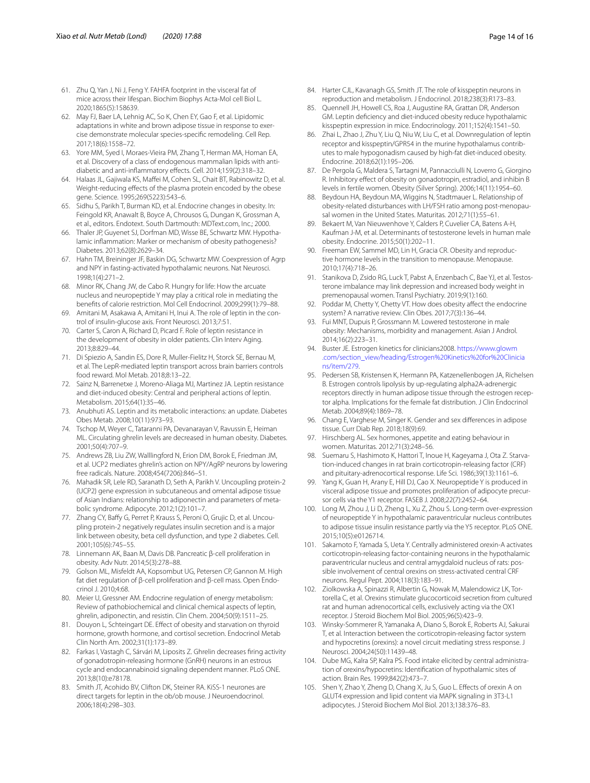- <span id="page-13-0"></span>61. Zhu Q, Yan J, Ni J, Feng Y. FAHFA footprint in the visceral fat of mice across their lifespan. Biochim Biophys Acta-Mol cell Biol L. 2020;1865(5):158639.
- <span id="page-13-1"></span>62. May FJ, Baer LA, Lehnig AC, So K, Chen EY, Gao F, et al. Lipidomic adaptations in white and brown adipose tissue in response to exercise demonstrate molecular species-specifc remodeling. Cell Rep. 2017;18(6):1558–72.
- <span id="page-13-2"></span>63. Yore MM, Syed I, Moraes-Vieira PM, Zhang T, Herman MA, Homan EA, et al. Discovery of a class of endogenous mammalian lipids with antidiabetic and anti-infammatory efects. Cell. 2014;159(2):318–32.
- <span id="page-13-3"></span>64. Halaas JL, Gajiwala KS, Mafei M, Cohen SL, Chait BT, Rabinowitz D, et al. Weight-reducing effects of the plasma protein encoded by the obese gene. Science. 1995;269(5223):543–6.
- <span id="page-13-4"></span>65. Sidhu S, Parikh T, Burman KD, et al. Endocrine changes in obesity. In: Feingold KR, Anawalt B, Boyce A, Chrousos G, Dungan K, Grossman A, et al., editors. Endotext. South Dartmouth: MDText.com, Inc.; 2000.
- <span id="page-13-5"></span>66. Thaler JP, Guyenet SJ, Dorfman MD, Wisse BE, Schwartz MW. Hypothalamic infammation: Marker or mechanism of obesity pathogenesis? Diabetes. 2013;62(8):2629–34.
- <span id="page-13-6"></span>67. Hahn TM, Breininger JF, Baskin DG, Schwartz MW. Coexpression of Agrp and NPY in fasting-activated hypothalamic neurons. Nat Neurosci. 1998;1(4):271–2.
- <span id="page-13-7"></span>68. Minor RK, Chang JW, de Cabo R. Hungry for life: How the arcuate nucleus and neuropeptide Y may play a critical role in mediating the benefts of calorie restriction. Mol Cell Endocrinol. 2009;299(1):79–88.
- <span id="page-13-8"></span>69. Amitani M, Asakawa A, Amitani H, Inui A. The role of leptin in the control of insulin-glucose axis. Front Neurosci. 2013;7:51.
- <span id="page-13-9"></span>70. Carter S, Caron A, Richard D, Picard F. Role of leptin resistance in the development of obesity in older patients. Clin Interv Aging. 2013;8:829–44.
- <span id="page-13-10"></span>71. Di Spiezio A, Sandin ES, Dore R, Muller-Fielitz H, Storck SE, Bernau M, et al. The LepR-mediated leptin transport across brain barriers controls food reward. Mol Metab. 2018;8:13–22.
- <span id="page-13-11"></span>72. Sainz N, Barrenetxe J, Moreno-Aliaga MJ, Martinez JA. Leptin resistance and diet-induced obesity: Central and peripheral actions of leptin. Metabolism. 2015;64(1):35–46.
- <span id="page-13-12"></span>73. Anubhuti AS. Leptin and its metabolic interactions: an update. Diabetes Obes Metab. 2008;10(11):973–93.
- <span id="page-13-13"></span>74. Tschop M, Weyer C, Tataranni PA, Devanarayan V, Ravussin E, Heiman ML. Circulating ghrelin levels are decreased in human obesity. Diabetes. 2001;50(4):707–9.
- <span id="page-13-14"></span>75. Andrews ZB, Liu ZW, Walllingford N, Erion DM, Borok E, Friedman JM, et al. UCP2 mediates ghrelin's action on NPY/AgRP neurons by lowering free radicals. Nature. 2008;454(7206):846–51.
- <span id="page-13-15"></span>76. Mahadik SR, Lele RD, Saranath D, Seth A, Parikh V. Uncoupling protein-2 (UCP2) gene expression in subcutaneous and omental adipose tissue of Asian Indians: relationship to adiponectin and parameters of metabolic syndrome. Adipocyte. 2012;1(2):101–7.
- <span id="page-13-16"></span>77. Zhang CY, Bafy G, Perret P, Krauss S, Peroni O, Grujic D, et al. Uncoupling protein-2 negatively regulates insulin secretion and is a major link between obesity, beta cell dysfunction, and type 2 diabetes. Cell. 2001;105(6):745–55.
- <span id="page-13-17"></span>78. Linnemann AK, Baan M, Davis DB. Pancreatic β-cell proliferation in obesity. Adv Nutr. 2014;5(3):278–88.
- <span id="page-13-18"></span>79. Golson ML, Misfeldt AA, Kopsombut UG, Petersen CP, Gannon M. High fat diet regulation of β-cell proliferation and β-cell mass. Open Endocrinol J. 2010;4:68.
- <span id="page-13-19"></span>80. Meier U, Gressner AM. Endocrine regulation of energy metabolism: Review of pathobiochemical and clinical chemical aspects of leptin, ghrelin, adiponectin, and resistin. Clin Chem. 2004;50(9):1511–25.
- <span id="page-13-20"></span>81. Douyon L, Schteingart DE. Efect of obesity and starvation on thyroid hormone, growth hormone, and cortisol secretion. Endocrinol Metab Clin North Am. 2002;31(1):173–89.
- <span id="page-13-21"></span>82. Farkas I, Vastagh C, Sárvári M, Liposits Z. Ghrelin decreases fring activity of gonadotropin-releasing hormone (GnRH) neurons in an estrous cycle and endocannabinoid signaling dependent manner. PLoS ONE. 2013;8(10):e78178.
- <span id="page-13-22"></span>83. Smith JT, Acohido BV, Clifton DK, Steiner RA. KiSS-1 neurones are direct targets for leptin in the ob/ob mouse. J Neuroendocrinol. 2006;18(4):298–303.
- <span id="page-13-23"></span>84. Harter CJL, Kavanagh GS, Smith JT. The role of kisspeptin neurons in reproduction and metabolism. J Endocrinol. 2018;238(3):R173–83.
- <span id="page-13-24"></span>85. Quennell JH, Howell CS, Roa J, Augustine RA, Grattan DR, Anderson GM. Leptin defciency and diet-induced obesity reduce hypothalamic kisspeptin expression in mice. Endocrinology. 2011;152(4):1541–50.
- <span id="page-13-25"></span>86. Zhai L, Zhao J, Zhu Y, Liu Q, Niu W, Liu C, et al. Downregulation of leptin receptor and kisspeptin/GPR54 in the murine hypothalamus contributes to male hypogonadism caused by high-fat diet-induced obesity. Endocrine. 2018;62(1):195–206.
- <span id="page-13-26"></span>87. De Pergola G, Maldera S, Tartagni M, Pannacciulli N, Loverro G, Giorgino R. Inhibitory efect of obesity on gonadotropin, estradiol, and inhibin B levels in fertile women. Obesity (Silver Spring). 2006;14(11):1954–60.
- <span id="page-13-27"></span>88. Beydoun HA, Beydoun MA, Wiggins N, Stadtmauer L. Relationship of obesity-related disturbances with LH/FSH ratio among post-menopausal women in the United States. Maturitas. 2012;71(1):55–61.
- <span id="page-13-28"></span>89. Bekaert M, Van Nieuwenhove Y, Calders P, Cuvelier CA, Batens A-H, Kaufman J-M, et al. Determinants of testosterone levels in human male obesity. Endocrine. 2015;50(1):202–11.
- <span id="page-13-29"></span>90. Freeman EW, Sammel MD, Lin H, Gracia CR. Obesity and reproductive hormone levels in the transition to menopause. Menopause. 2010;17(4):718–26.
- <span id="page-13-30"></span>91. Stanikova D, Zsido RG, Luck T, Pabst A, Enzenbach C, Bae YJ, et al. Testosterone imbalance may link depression and increased body weight in premenopausal women. Transl Psychiatry. 2019;9(1):160.
- <span id="page-13-31"></span>92. Poddar M, Chetty Y, Chetty VT. How does obesity afect the endocrine system? A narrative review. Clin Obes. 2017;7(3):136–44.
- <span id="page-13-32"></span>93. Fui MNT, Dupuis P, Grossmann M. Lowered testosterone in male obesity: Mechanisms, morbidity and management. Asian J Androl. 2014;16(2):223–31.
- <span id="page-13-33"></span>94. Buster JE. Estrogen kinetics for clinicians2008. [https://www.glowm](https://www.glowm.com/section_view/heading/Estrogen%20Kinetics%20for%20Clinicians/item/279) [.com/section\\_view/heading/Estrogen%20Kinetics%20for%20Clinicia](https://www.glowm.com/section_view/heading/Estrogen%20Kinetics%20for%20Clinicians/item/279) [ns/item/279](https://www.glowm.com/section_view/heading/Estrogen%20Kinetics%20for%20Clinicians/item/279).
- <span id="page-13-34"></span>95. Pedersen SB, Kristensen K, Hermann PA, Katzenellenbogen JA, Richelsen B. Estrogen controls lipolysis by up-regulating alpha2A-adrenergic receptors directly in human adipose tissue through the estrogen receptor alpha. Implications for the female fat distribution. J Clin Endocrinol Metab. 2004;89(4):1869–78.
- <span id="page-13-35"></span>96. Chang E, Varghese M, Singer K. Gender and sex diferences in adipose tissue. Curr Diab Rep. 2018;18(9):69.
- <span id="page-13-36"></span>97. Hirschberg AL. Sex hormones, appetite and eating behaviour in women. Maturitas. 2012;71(3):248–56.
- <span id="page-13-37"></span>98. Suemaru S, Hashimoto K, Hattori T, Inoue H, Kageyama J, Ota Z. Starvation-induced changes in rat brain corticotropin-releasing factor (CRF) and pituitary-adrenocortical response. Life Sci. 1986;39(13):1161–6.
- <span id="page-13-38"></span>99. Yang K, Guan H, Arany E, Hill DJ, Cao X. Neuropeptide Y is produced in visceral adipose tissue and promotes proliferation of adipocyte precursor cells via the Y1 receptor. FASEB J. 2008;22(7):2452–64.
- <span id="page-13-39"></span>100. Long M, Zhou J, Li D, Zheng L, Xu Z, Zhou S. Long-term over-expression of neuropeptide Y in hypothalamic paraventricular nucleus contributes to adipose tissue insulin resistance partly via the Y5 receptor. PLoS ONE. 2015;10(5):e0126714.
- <span id="page-13-40"></span>101. Sakamoto F, Yamada S, Ueta Y. Centrally administered orexin-A activates corticotropin-releasing factor-containing neurons in the hypothalamic paraventricular nucleus and central amygdaloid nucleus of rats: possible involvement of central orexins on stress-activated central CRF neurons. Regul Pept. 2004;118(3):183–91.
- <span id="page-13-41"></span>102. Ziolkowska A, Spinazzi R, Albertin G, Nowak M, Malendowicz LK, Tortorella C, et al. Orexins stimulate glucocorticoid secretion from cultured rat and human adrenocortical cells, exclusively acting via the OX1 receptor. J Steroid Biochem Mol Biol. 2005;96(5):423–9.
- <span id="page-13-42"></span>103. Winsky-Sommerer R, Yamanaka A, Diano S, Borok E, Roberts AJ, Sakurai T, et al. Interaction between the corticotropin-releasing factor system and hypocretins (orexins): a novel circuit mediating stress response. J Neurosci. 2004;24(50):11439–48.
- <span id="page-13-43"></span>104. Dube MG, Kalra SP, Kalra PS. Food intake elicited by central administration of orexins/hypocretins: Identifcation of hypothalamic sites of action. Brain Res. 1999;842(2):473–7.
- <span id="page-13-44"></span>105. Shen Y, Zhao Y, Zheng D, Chang X, Ju S, Guo L. Efects of orexin A on GLUT4 expression and lipid content via MAPK signaling in 3T3-L1 adipocytes. J Steroid Biochem Mol Biol. 2013;138:376–83.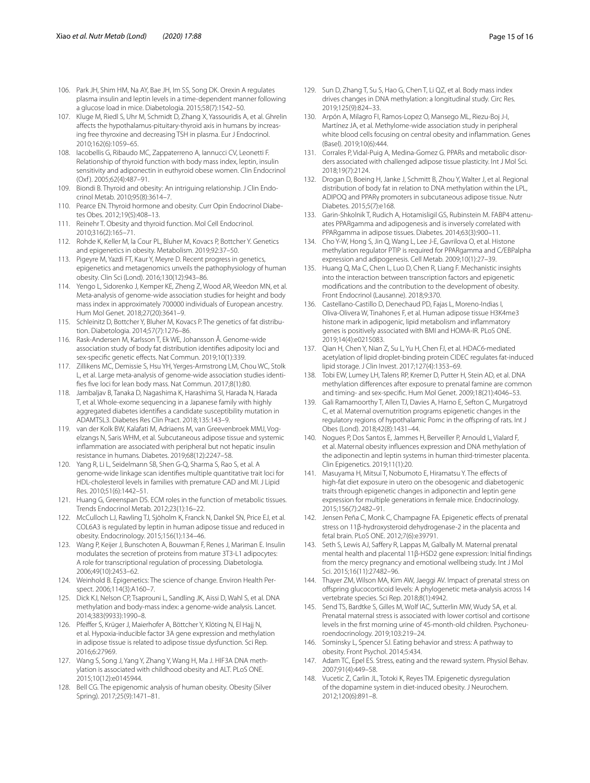- <span id="page-14-0"></span>106. Park JH, Shim HM, Na AY, Bae JH, Im SS, Song DK. Orexin A regulates plasma insulin and leptin levels in a time-dependent manner following a glucose load in mice. Diabetologia. 2015;58(7):1542–50.
- <span id="page-14-1"></span>107. Kluge M, Riedl S, Uhr M, Schmidt D, Zhang X, Yassouridis A, et al. Ghrelin afects the hypothalamus-pituitary-thyroid axis in humans by increasing free thyroxine and decreasing TSH in plasma. Eur J Endocrinol. 2010;162(6):1059–65.
- <span id="page-14-2"></span>108. Iacobellis G, Ribaudo MC, Zappaterreno A, Iannucci CV, Leonetti F. Relationship of thyroid function with body mass index, leptin, insulin sensitivity and adiponectin in euthyroid obese women. Clin Endocrinol (Oxf ). 2005;62(4):487–91.
- <span id="page-14-3"></span>109. Biondi B. Thyroid and obesity: An intriguing relationship. J Clin Endocrinol Metab. 2010;95(8):3614–7.
- <span id="page-14-4"></span>110. Pearce EN. Thyroid hormone and obesity. Curr Opin Endocrinol Diabetes Obes. 2012;19(5):408–13.
- <span id="page-14-5"></span>111. Reinehr T. Obesity and thyroid function. Mol Cell Endocrinol. 2010;316(2):165–71.
- <span id="page-14-6"></span>112. Rohde K, Keller M, la Cour PL, Bluher M, Kovacs P, Bottcher Y. Genetics and epigenetics in obesity. Metabolism. 2019;92:37–50.
- <span id="page-14-7"></span>113. Pigeyre M, Yazdi FT, Kaur Y, Meyre D. Recent progress in genetics, epigenetics and metagenomics unveils the pathophysiology of human obesity. Clin Sci (Lond). 2016;130(12):943–86.
- <span id="page-14-8"></span>114. Yengo L, Sidorenko J, Kemper KE, Zheng Z, Wood AR, Weedon MN, et al. Meta-analysis of genome-wide association studies for height and body mass index in approximately 700000 individuals of European ancestry. Hum Mol Genet. 2018;27(20):3641–9.
- <span id="page-14-9"></span>115. Schleinitz D, Bottcher Y, Bluher M, Kovacs P. The genetics of fat distribution. Diabetologia. 2014;57(7):1276–86.
- <span id="page-14-10"></span>116. Rask-Andersen M, Karlsson T, Ek WE, Johansson Å. Genome-wide association study of body fat distribution identifes adiposity loci and sex-specifc genetic efects. Nat Commun. 2019;10(1):339.
- <span id="page-14-11"></span>117. Zillikens MC, Demissie S, Hsu YH, Yerges-Armstrong LM, Chou WC, Stolk L, et al. Large meta-analysis of genome-wide association studies identifes fve loci for lean body mass. Nat Commun. 2017;8(1):80.
- <span id="page-14-12"></span>118. Jambaljav B, Tanaka D, Nagashima K, Harashima SI, Harada N, Harada T, et al. Whole-exome sequencing in a Japanese family with highly aggregated diabetes identifes a candidate susceptibility mutation in ADAMTSL3. Diabetes Res Clin Pract. 2018;135:143–9.
- <span id="page-14-13"></span>119. van der Kolk BW, Kalafati M, Adriaens M, van Greevenbroek MMJ, Vogelzangs N, Saris WHM, et al. Subcutaneous adipose tissue and systemic infammation are associated with peripheral but not hepatic insulin resistance in humans. Diabetes. 2019;68(12):2247–58.
- <span id="page-14-14"></span>120. Yang R, Li L, Seidelmann SB, Shen G-Q, Sharma S, Rao S, et al. A genome-wide linkage scan identifes multiple quantitative trait loci for HDL-cholesterol levels in families with premature CAD and MI. J Lipid Res. 2010;51(6):1442–51.
- <span id="page-14-15"></span>121. Huang G, Greenspan DS. ECM roles in the function of metabolic tissues. Trends Endocrinol Metab. 2012;23(1):16–22.
- <span id="page-14-16"></span>122. McCulloch LJ, Rawling TJ, Sjöholm K, Franck N, Dankel SN, Price EJ, et al. COL6A3 is regulated by leptin in human adipose tissue and reduced in obesity. Endocrinology. 2015;156(1):134–46.
- <span id="page-14-17"></span>123. Wang P, Keijer J, Bunschoten A, Bouwman F, Renes J, Mariman E. Insulin modulates the secretion of proteins from mature 3T3-L1 adipocytes: A role for transcriptional regulation of processing. Diabetologia. 2006;49(10):2453–62.
- <span id="page-14-18"></span>124. Weinhold B. Epigenetics: The science of change. Environ Health Perspect. 2006;114(3):A160–7.
- <span id="page-14-19"></span>125. Dick KJ, Nelson CP, Tsaprouni L, Sandling JK, Aissi D, Wahl S, et al. DNA methylation and body-mass index: a genome-wide analysis. Lancet. 2014;383(9933):1990–8.
- <span id="page-14-20"></span>126. Pfeifer S, Krüger J, Maierhofer A, Böttcher Y, Klöting N, El Hajj N, et al. Hypoxia-inducible factor 3A gene expression and methylation in adipose tissue is related to adipose tissue dysfunction. Sci Rep. 2016;6:27969.
- <span id="page-14-21"></span>127. Wang S, Song J, Yang Y, Zhang Y, Wang H, Ma J. HIF3A DNA methylation is associated with childhood obesity and ALT. PLoS ONE. 2015;10(12):e0145944.
- <span id="page-14-22"></span>128. Bell CG. The epigenomic analysis of human obesity. Obesity (Silver Spring). 2017;25(9):1471–81.
- <span id="page-14-23"></span>129. Sun D, Zhang T, Su S, Hao G, Chen T, Li QZ, et al. Body mass index drives changes in DNA methylation: a longitudinal study. Circ Res. 2019;125(9):824–33.
- <span id="page-14-24"></span>130. Arpón A, Milagro FI, Ramos-Lopez O, Mansego ML, Riezu-Boj J-I, Martínez JA, et al. Methylome-wide association study in peripheral white blood cells focusing on central obesity and infammation. Genes (Basel). 2019;10(6):444.
- <span id="page-14-25"></span>131. Corrales P, Vidal-Puig A, Medina-Gomez G. PPARs and metabolic disorders associated with challenged adipose tissue plasticity. Int J Mol Sci. 2018;19(7):2124.
- <span id="page-14-26"></span>132. Drogan D, Boeing H, Janke J, Schmitt B, Zhou Y, Walter J, et al. Regional distribution of body fat in relation to DNA methylation within the LPL, ADIPOQ and PPARγ promoters in subcutaneous adipose tissue. Nutr Diabetes. 2015;5(7):e168.
- <span id="page-14-27"></span>133. Garin-Shkolnik T, Rudich A, Hotamisligil GS, Rubinstein M. FABP4 attenuates PPARgamma and adipogenesis and is inversely correlated with PPARgamma in adipose tissues. Diabetes. 2014;63(3):900–11.
- <span id="page-14-28"></span>134. Cho Y-W, Hong S, Jin Q, Wang L, Lee J-E, Gavrilova O, et al. Histone methylation regulator PTIP is required for PPARgamma and C/EBPalpha expression and adipogenesis. Cell Metab. 2009;10(1):27–39.
- <span id="page-14-29"></span>135. Huang Q, Ma C, Chen L, Luo D, Chen R, Liang F. Mechanistic insights into the interaction between transcription factors and epigenetic modifcations and the contribution to the development of obesity. Front Endocrinol (Lausanne). 2018;9:370.
- <span id="page-14-30"></span>136. Castellano-Castillo D, Denechaud PD, Fajas L, Moreno-Indias I, Oliva-Olivera W, Tinahones F, et al. Human adipose tissue H3K4me3 histone mark in adipogenic, lipid metabolism and infammatory genes is positively associated with BMI and HOMA-IR. PLoS ONE. 2019;14(4):e0215083.
- <span id="page-14-31"></span>137. Qian H, Chen Y, Nian Z, Su L, Yu H, Chen FJ, et al. HDAC6-mediated acetylation of lipid droplet-binding protein CIDEC regulates fat-induced lipid storage. J Clin Invest. 2017;127(4):1353–69.
- <span id="page-14-32"></span>138. Tobi EW, Lumey LH, Talens RP, Kremer D, Putter H, Stein AD, et al. DNA methylation diferences after exposure to prenatal famine are common and timing- and sex-specifc. Hum Mol Genet. 2009;18(21):4046–53.
- <span id="page-14-33"></span>139. Gali Ramamoorthy T, Allen TJ, Davies A, Harno E, Sefton C, Murgatroyd C, et al. Maternal overnutrition programs epigenetic changes in the regulatory regions of hypothalamic Pomc in the ofspring of rats. Int J Obes (Lond). 2018;42(8):1431–44.
- <span id="page-14-34"></span>140. Nogues P, Dos Santos E, Jammes H, Berveiller P, Arnould L, Vialard F, et al. Maternal obesity infuences expression and DNA methylation of the adiponectin and leptin systems in human third-trimester placenta. Clin Epigenetics. 2019;11(1):20.
- <span id="page-14-35"></span>141. Masuyama H, Mitsui T, Nobumoto E, Hiramatsu Y. The effects of high-fat diet exposure in utero on the obesogenic and diabetogenic traits through epigenetic changes in adiponectin and leptin gene expression for multiple generations in female mice. Endocrinology. 2015;156(7):2482–91.
- <span id="page-14-36"></span>142. Jensen Peña C, Monk C, Champagne FA. Epigenetic effects of prenatal stress on 11β-hydroxysteroid dehydrogenase-2 in the placenta and fetal brain. PLoS ONE. 2012;7(6):e39791.
- <span id="page-14-37"></span>143. Seth S, Lewis AJ, Saffery R, Lappas M, Galbally M. Maternal prenatal mental health and placental 11β-HSD2 gene expression: Initial fndings from the mercy pregnancy and emotional wellbeing study. Int J Mol Sci. 2015;16(11):27482–96.
- <span id="page-14-38"></span>144. Thayer ZM, Wilson MA, Kim AW, Jaeggi AV. Impact of prenatal stress on ofspring glucocorticoid levels: A phylogenetic meta-analysis across 14 vertebrate species. Sci Rep. 2018;8(1):4942.
- <span id="page-14-39"></span>145. Send TS, Bardtke S, Gilles M, Wolf IAC, Sutterlin MW, Wudy SA, et al. Prenatal maternal stress is associated with lower cortisol and cortisone levels in the frst morning urine of 45-month-old children. Psychoneuroendocrinology. 2019;103:219–24.
- <span id="page-14-40"></span>146. Sominsky L, Spencer SJ. Eating behavior and stress: A pathway to obesity. Front Psychol. 2014;5:434.
- <span id="page-14-41"></span>147. Adam TC, Epel ES. Stress, eating and the reward system. Physiol Behav. 2007;91(4):449–58.
- <span id="page-14-42"></span>148. Vucetic Z, Carlin JL, Totoki K, Reyes TM. Epigenetic dysregulation of the dopamine system in diet-induced obesity. J Neurochem. 2012;120(6):891–8.